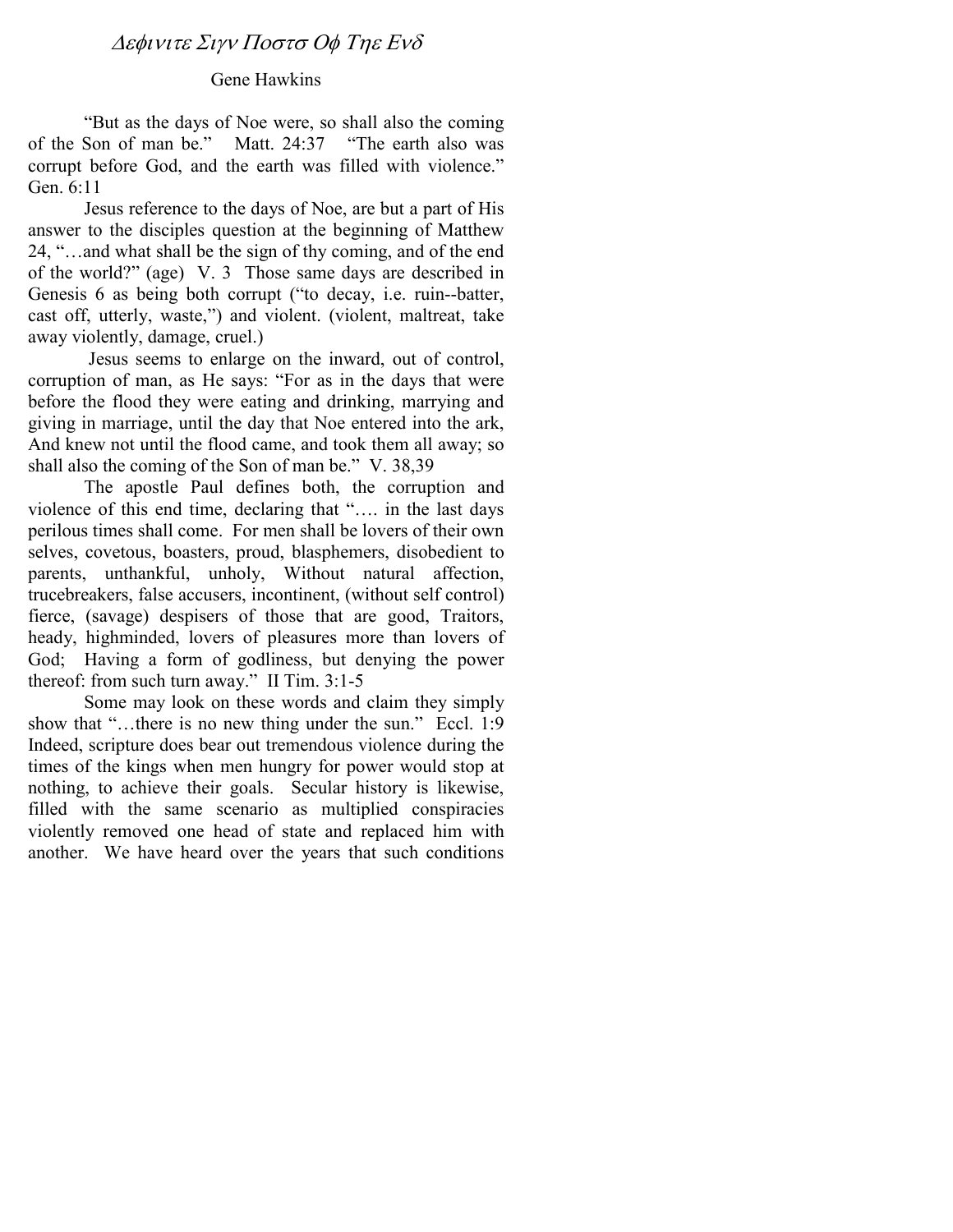## ∆εφινιτε Σιγν Ποστσ Οφ Τηε Ενδ

#### Gene Hawkins

"But as the days of Noe were, so shall also the coming of the Son of man be." Matt. 24:37 "The earth also was corrupt before God, and the earth was filled with violence." Gen. 6:11

Jesus reference to the days of Noe, are but a part of His answer to the disciples question at the beginning of Matthew 24, "…and what shall be the sign of thy coming, and of the end of the world?" (age) V. 3 Those same days are described in Genesis 6 as being both corrupt ("to decay, i.e. ruin--batter, cast off, utterly, waste,") and violent. (violent, maltreat, take away violently, damage, cruel.)

 Jesus seems to enlarge on the inward, out of control, corruption of man, as He says: "For as in the days that were before the flood they were eating and drinking, marrying and giving in marriage, until the day that Noe entered into the ark, And knew not until the flood came, and took them all away; so shall also the coming of the Son of man be." V. 38,39

The apostle Paul defines both, the corruption and violence of this end time, declaring that "…. in the last days perilous times shall come. For men shall be lovers of their own selves, covetous, boasters, proud, blasphemers, disobedient to parents, unthankful, unholy, Without natural affection, trucebreakers, false accusers, incontinent, (without self control) fierce, (savage) despisers of those that are good, Traitors, heady, highminded, lovers of pleasures more than lovers of God; Having a form of godliness, but denying the power thereof: from such turn away." II Tim. 3:1-5

Some may look on these words and claim they simply show that "...there is no new thing under the sun." Eccl. 1:9 Indeed, scripture does bear out tremendous violence during the times of the kings when men hungry for power would stop at nothing, to achieve their goals. Secular history is likewise, filled with the same scenario as multiplied conspiracies violently removed one head of state and replaced him with another. We have heard over the years that such conditions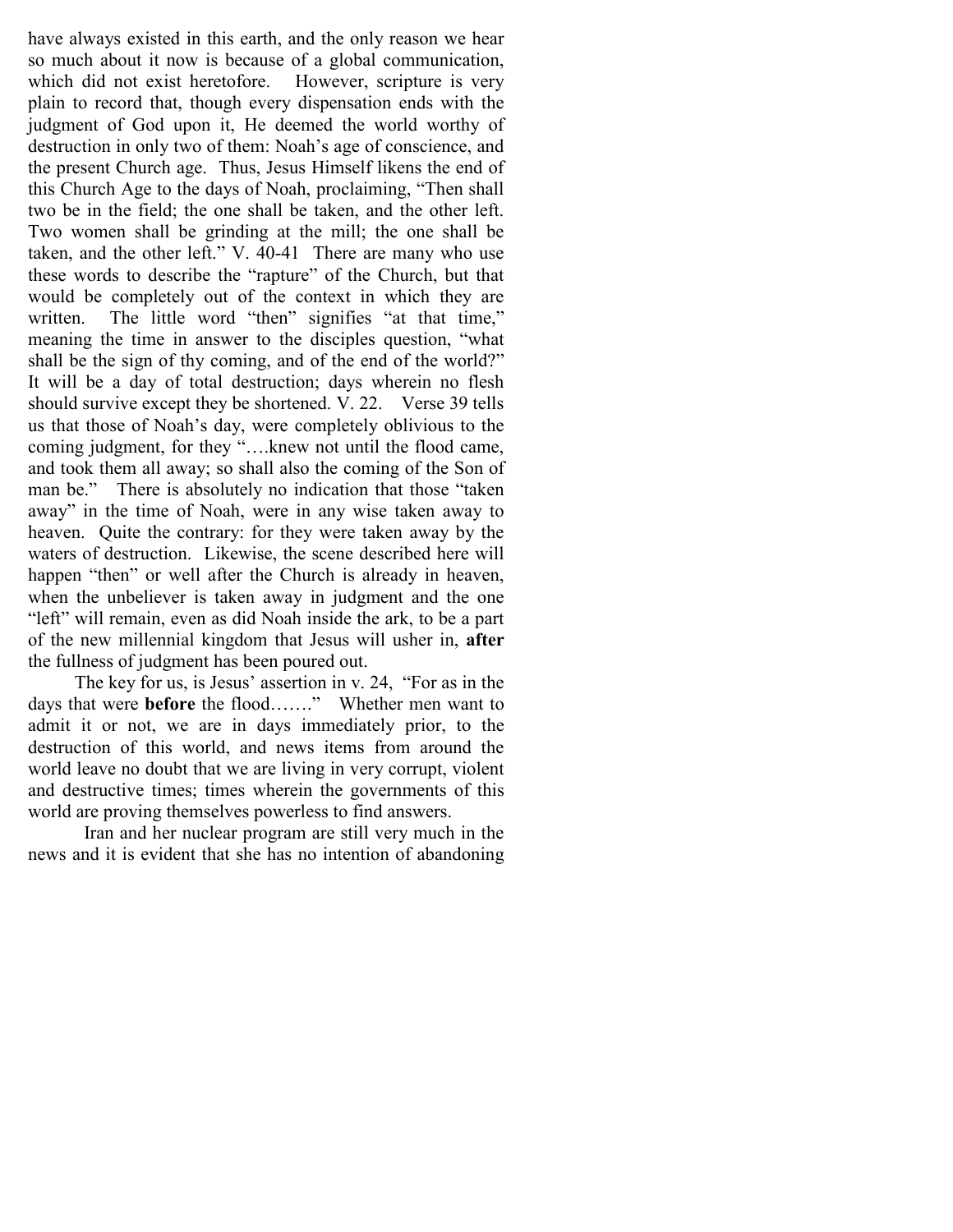have always existed in this earth, and the only reason we hear so much about it now is because of a global communication, which did not exist heretofore. However, scripture is very plain to record that, though every dispensation ends with the judgment of God upon it, He deemed the world worthy of destruction in only two of them: Noah's age of conscience, and the present Church age. Thus, Jesus Himself likens the end of this Church Age to the days of Noah, proclaiming, "Then shall two be in the field; the one shall be taken, and the other left. Two women shall be grinding at the mill; the one shall be taken, and the other left." V. 40-41 There are many who use these words to describe the "rapture" of the Church, but that would be completely out of the context in which they are written. The little word "then" signifies "at that time," meaning the time in answer to the disciples question, "what shall be the sign of thy coming, and of the end of the world?" It will be a day of total destruction; days wherein no flesh should survive except they be shortened. V. 22. Verse 39 tells us that those of Noah's day, were completely oblivious to the coming judgment, for they "….knew not until the flood came, and took them all away; so shall also the coming of the Son of man be." There is absolutely no indication that those "taken" away" in the time of Noah, were in any wise taken away to heaven. Quite the contrary: for they were taken away by the waters of destruction. Likewise, the scene described here will happen "then" or well after the Church is already in heaven, when the unbeliever is taken away in judgment and the one "left" will remain, even as did Noah inside the ark, to be a part of the new millennial kingdom that Jesus will usher in, after the fullness of judgment has been poured out.

 The key for us, is Jesus' assertion in v. 24, "For as in the days that were **before** the flood……." Whether men want to admit it or not, we are in days immediately prior, to the destruction of this world, and news items from around the world leave no doubt that we are living in very corrupt, violent and destructive times; times wherein the governments of this world are proving themselves powerless to find answers.

 Iran and her nuclear program are still very much in the news and it is evident that she has no intention of abandoning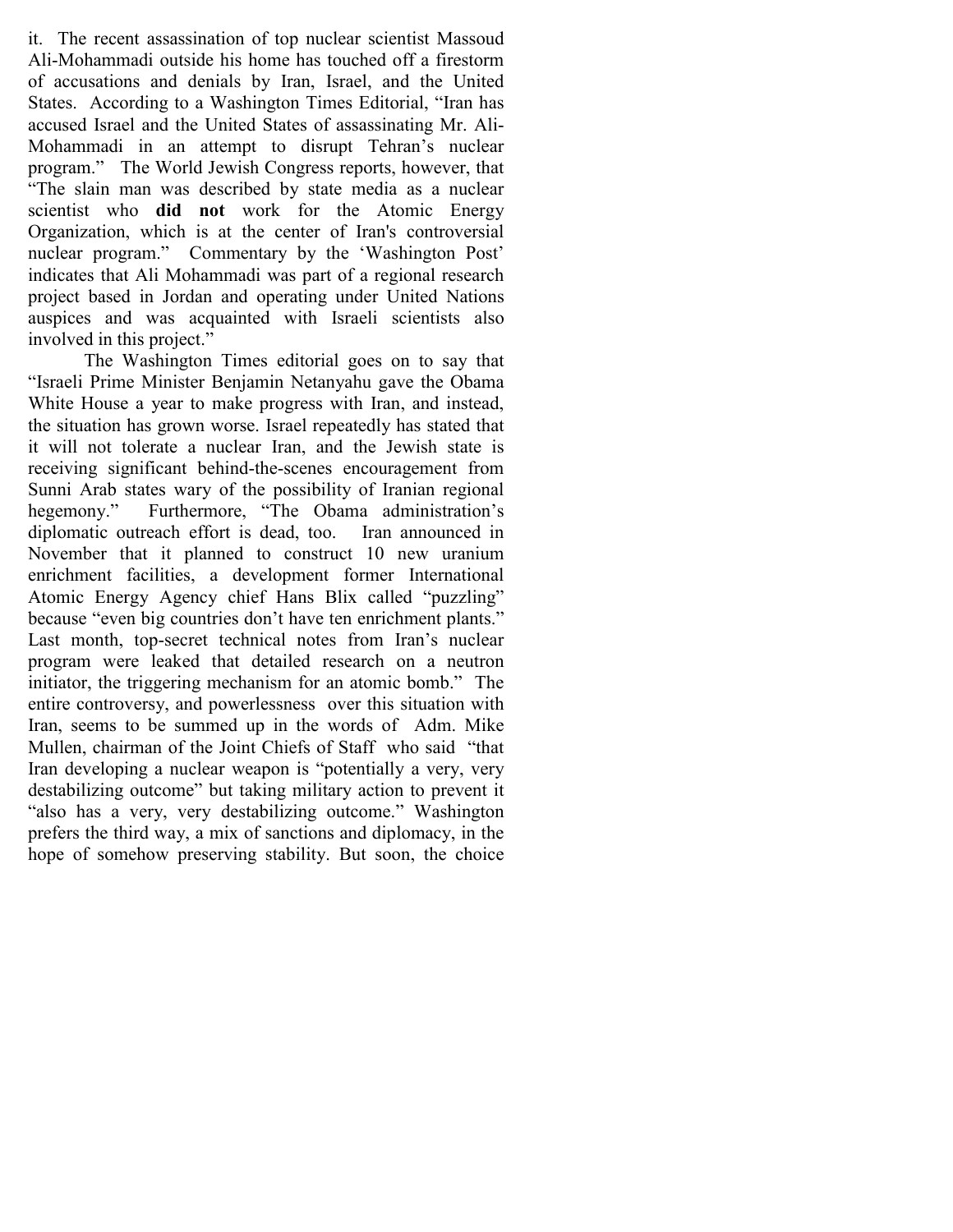it. The recent assassination of top nuclear scientist Massoud Ali-Mohammadi outside his home has touched off a firestorm of accusations and denials by Iran, Israel, and the United States. According to a Washington Times Editorial, "Iran has accused Israel and the United States of assassinating Mr. Ali-Mohammadi in an attempt to disrupt Tehran's nuclear program." The World Jewish Congress reports, however, that "The slain man was described by state media as a nuclear scientist who did not work for the Atomic Energy Organization, which is at the center of Iran's controversial nuclear program." Commentary by the 'Washington Post' indicates that Ali Mohammadi was part of a regional research project based in Jordan and operating under United Nations auspices and was acquainted with Israeli scientists also involved in this project."

 The Washington Times editorial goes on to say that "Israeli Prime Minister Benjamin Netanyahu gave the Obama White House a year to make progress with Iran, and instead, the situation has grown worse. Israel repeatedly has stated that it will not tolerate a nuclear Iran, and the Jewish state is receiving significant behind-the-scenes encouragement from Sunni Arab states wary of the possibility of Iranian regional hegemony." Furthermore, "The Obama administration's diplomatic outreach effort is dead, too. Iran announced in November that it planned to construct 10 new uranium enrichment facilities, a development former International Atomic Energy Agency chief Hans Blix called "puzzling" because "even big countries don't have ten enrichment plants." Last month, top-secret technical notes from Iran's nuclear program were leaked that detailed research on a neutron initiator, the triggering mechanism for an atomic bomb." The entire controversy, and powerlessness over this situation with Iran, seems to be summed up in the words of Adm. Mike Mullen, chairman of the Joint Chiefs of Staff who said "that Iran developing a nuclear weapon is "potentially a very, very destabilizing outcome" but taking military action to prevent it "also has a very, very destabilizing outcome." Washington prefers the third way, a mix of sanctions and diplomacy, in the hope of somehow preserving stability. But soon, the choice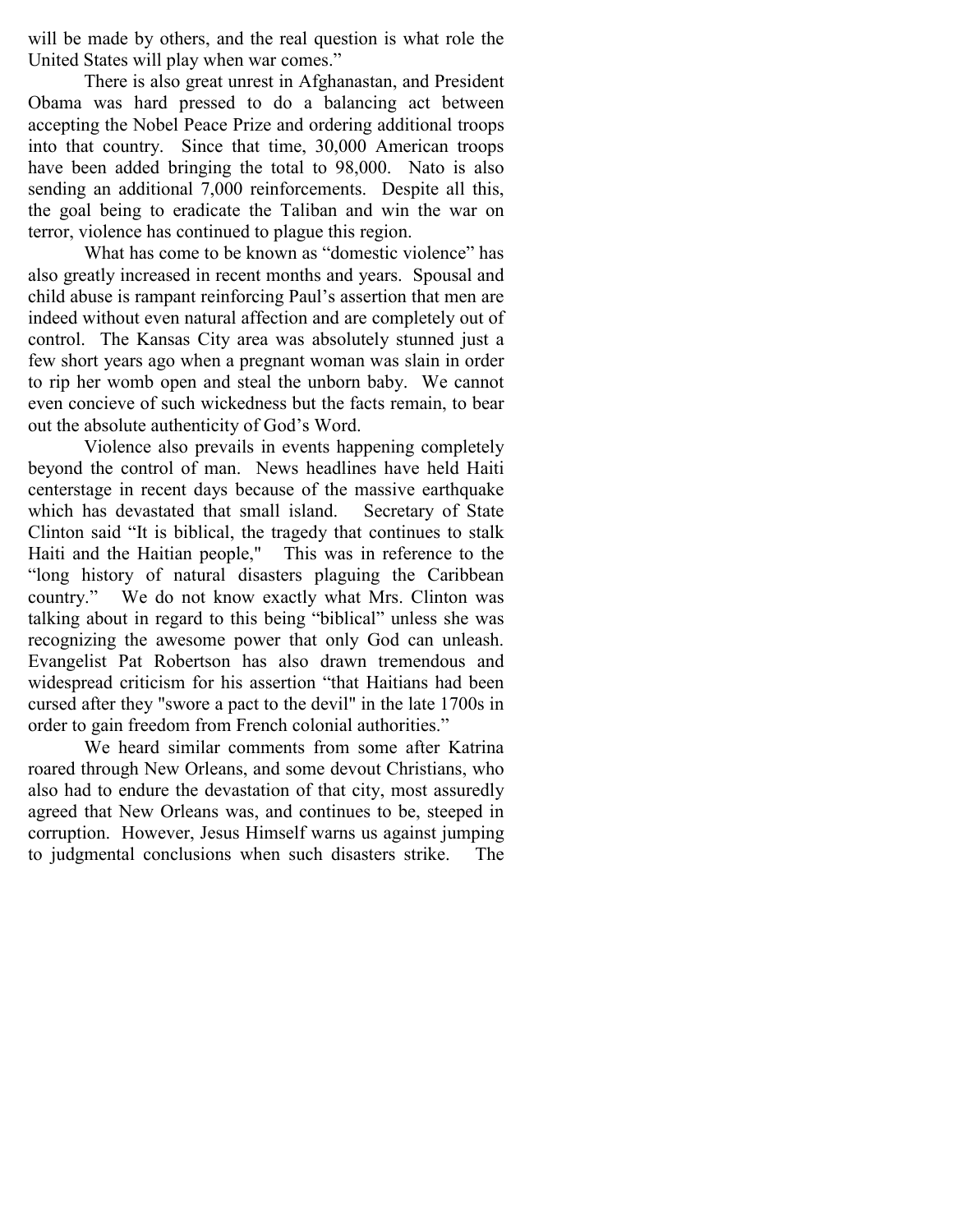will be made by others, and the real question is what role the United States will play when war comes."

 There is also great unrest in Afghanastan, and President Obama was hard pressed to do a balancing act between accepting the Nobel Peace Prize and ordering additional troops into that country. Since that time, 30,000 American troops have been added bringing the total to 98,000. Nato is also sending an additional 7,000 reinforcements. Despite all this, the goal being to eradicate the Taliban and win the war on terror, violence has continued to plague this region.

 What has come to be known as "domestic violence" has also greatly increased in recent months and years. Spousal and child abuse is rampant reinforcing Paul's assertion that men are indeed without even natural affection and are completely out of control. The Kansas City area was absolutely stunned just a few short years ago when a pregnant woman was slain in order to rip her womb open and steal the unborn baby. We cannot even concieve of such wickedness but the facts remain, to bear out the absolute authenticity of God's Word.

 Violence also prevails in events happening completely beyond the control of man. News headlines have held Haiti centerstage in recent days because of the massive earthquake which has devastated that small island. Secretary of State Clinton said "It is biblical, the tragedy that continues to stalk Haiti and the Haitian people," This was in reference to the "long history of natural disasters plaguing the Caribbean country." We do not know exactly what Mrs. Clinton was talking about in regard to this being "biblical" unless she was recognizing the awesome power that only God can unleash. Evangelist Pat Robertson has also drawn tremendous and widespread criticism for his assertion "that Haitians had been cursed after they "swore a pact to the devil" in the late 1700s in order to gain freedom from French colonial authorities."

 We heard similar comments from some after Katrina roared through New Orleans, and some devout Christians, who also had to endure the devastation of that city, most assuredly agreed that New Orleans was, and continues to be, steeped in corruption. However, Jesus Himself warns us against jumping to judgmental conclusions when such disasters strike. The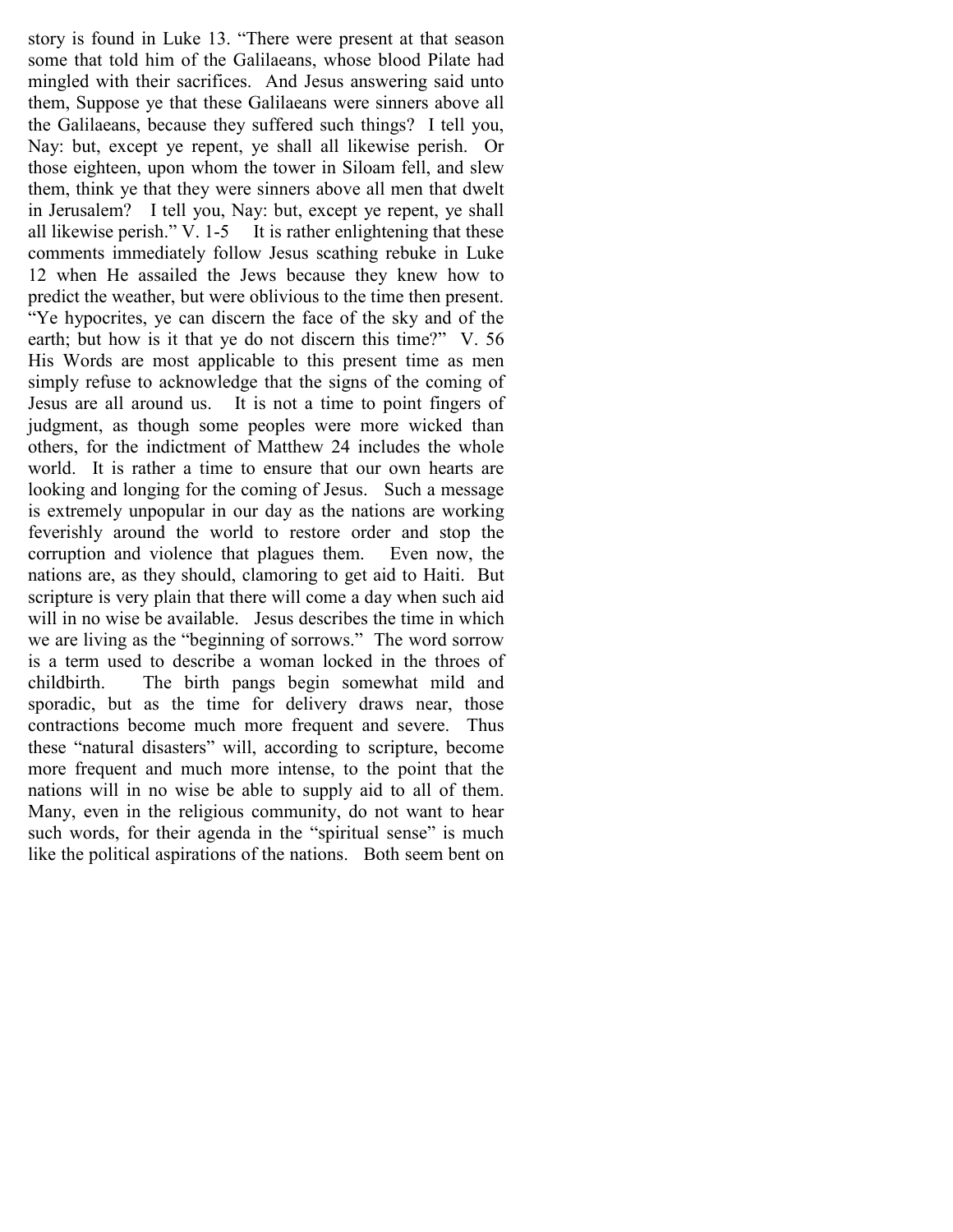story is found in Luke 13. "There were present at that season some that told him of the Galilaeans, whose blood Pilate had mingled with their sacrifices. And Jesus answering said unto them, Suppose ye that these Galilaeans were sinners above all the Galilaeans, because they suffered such things? I tell you, Nay: but, except ye repent, ye shall all likewise perish. Or those eighteen, upon whom the tower in Siloam fell, and slew them, think ye that they were sinners above all men that dwelt in Jerusalem? I tell you, Nay: but, except ye repent, ye shall all likewise perish." V. 1-5 It is rather enlightening that these comments immediately follow Jesus scathing rebuke in Luke 12 when He assailed the Jews because they knew how to predict the weather, but were oblivious to the time then present. "Ye hypocrites, ye can discern the face of the sky and of the earth; but how is it that ye do not discern this time?" V. 56 His Words are most applicable to this present time as men simply refuse to acknowledge that the signs of the coming of Jesus are all around us. It is not a time to point fingers of judgment, as though some peoples were more wicked than others, for the indictment of Matthew 24 includes the whole world. It is rather a time to ensure that our own hearts are looking and longing for the coming of Jesus. Such a message is extremely unpopular in our day as the nations are working feverishly around the world to restore order and stop the corruption and violence that plagues them. Even now, the nations are, as they should, clamoring to get aid to Haiti. But scripture is very plain that there will come a day when such aid will in no wise be available. Jesus describes the time in which we are living as the "beginning of sorrows." The word sorrow is a term used to describe a woman locked in the throes of childbirth. The birth pangs begin somewhat mild and sporadic, but as the time for delivery draws near, those contractions become much more frequent and severe. Thus these "natural disasters" will, according to scripture, become more frequent and much more intense, to the point that the nations will in no wise be able to supply aid to all of them. Many, even in the religious community, do not want to hear such words, for their agenda in the "spiritual sense" is much like the political aspirations of the nations. Both seem bent on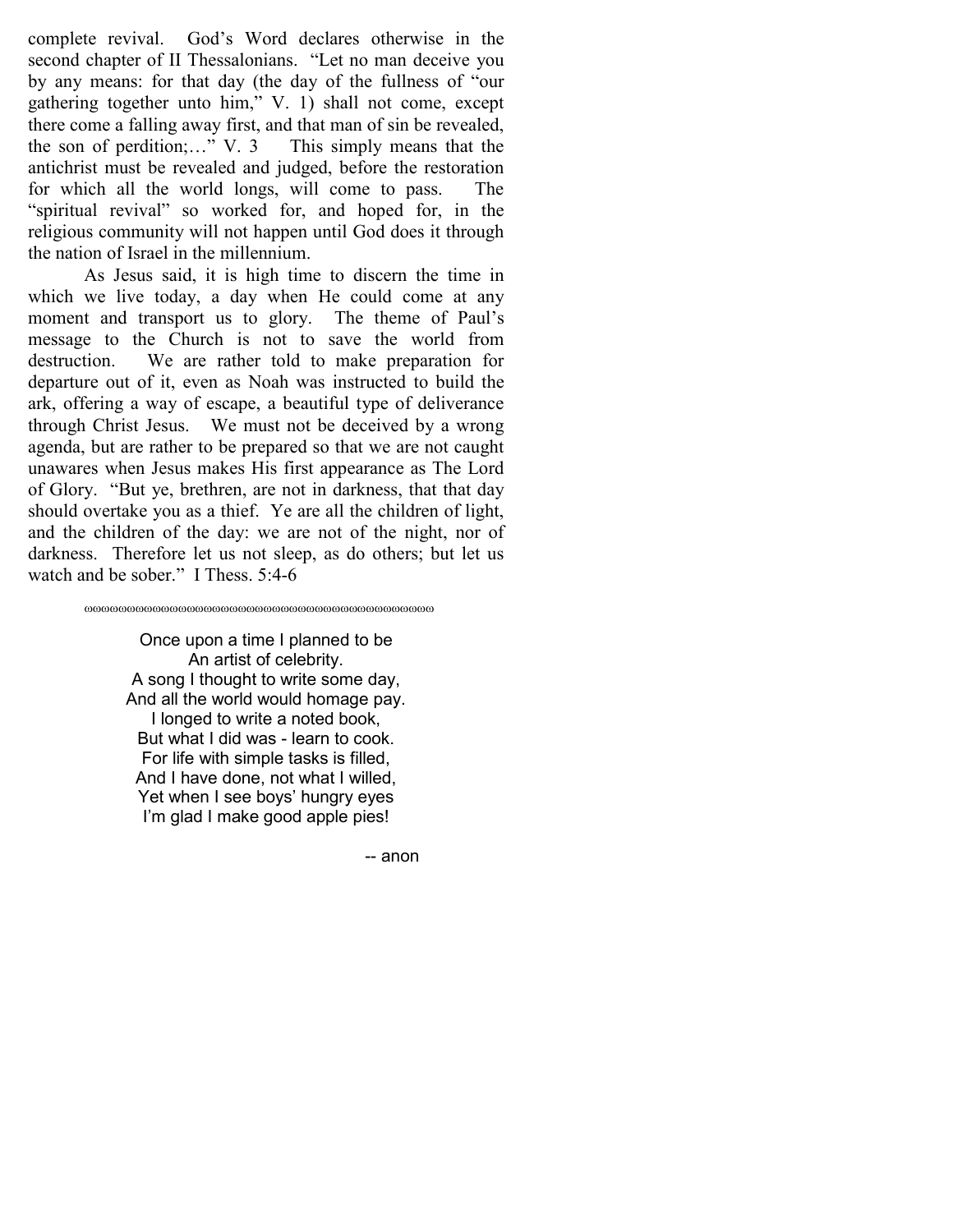complete revival. God's Word declares otherwise in the second chapter of II Thessalonians. "Let no man deceive you by any means: for that day (the day of the fullness of "our gathering together unto him," V. 1) shall not come, except there come a falling away first, and that man of sin be revealed, the son of perdition;…" V. 3 This simply means that the antichrist must be revealed and judged, before the restoration for which all the world longs, will come to pass. The "spiritual revival" so worked for, and hoped for, in the religious community will not happen until God does it through the nation of Israel in the millennium.

 As Jesus said, it is high time to discern the time in which we live today, a day when He could come at any moment and transport us to glory. The theme of Paul's message to the Church is not to save the world from destruction. We are rather told to make preparation for departure out of it, even as Noah was instructed to build the ark, offering a way of escape, a beautiful type of deliverance through Christ Jesus. We must not be deceived by a wrong agenda, but are rather to be prepared so that we are not caught unawares when Jesus makes His first appearance as The Lord of Glory. "But ye, brethren, are not in darkness, that that day should overtake you as a thief. Ye are all the children of light, and the children of the day: we are not of the night, nor of darkness. Therefore let us not sleep, as do others; but let us watch and be sober." I Thess. 5:4-6

#### ωωωωωωωωωωωωωωωωωωωωωωωωωωωωωωωωωωωωωωωωω

Once upon a time I planned to be An artist of celebrity. A song I thought to write some day, And all the world would homage pay. I longed to write a noted book, But what I did was - learn to cook. For life with simple tasks is filled, And I have done, not what I willed, Yet when I see boys' hungry eyes I'm glad I make good apple pies!

-- anon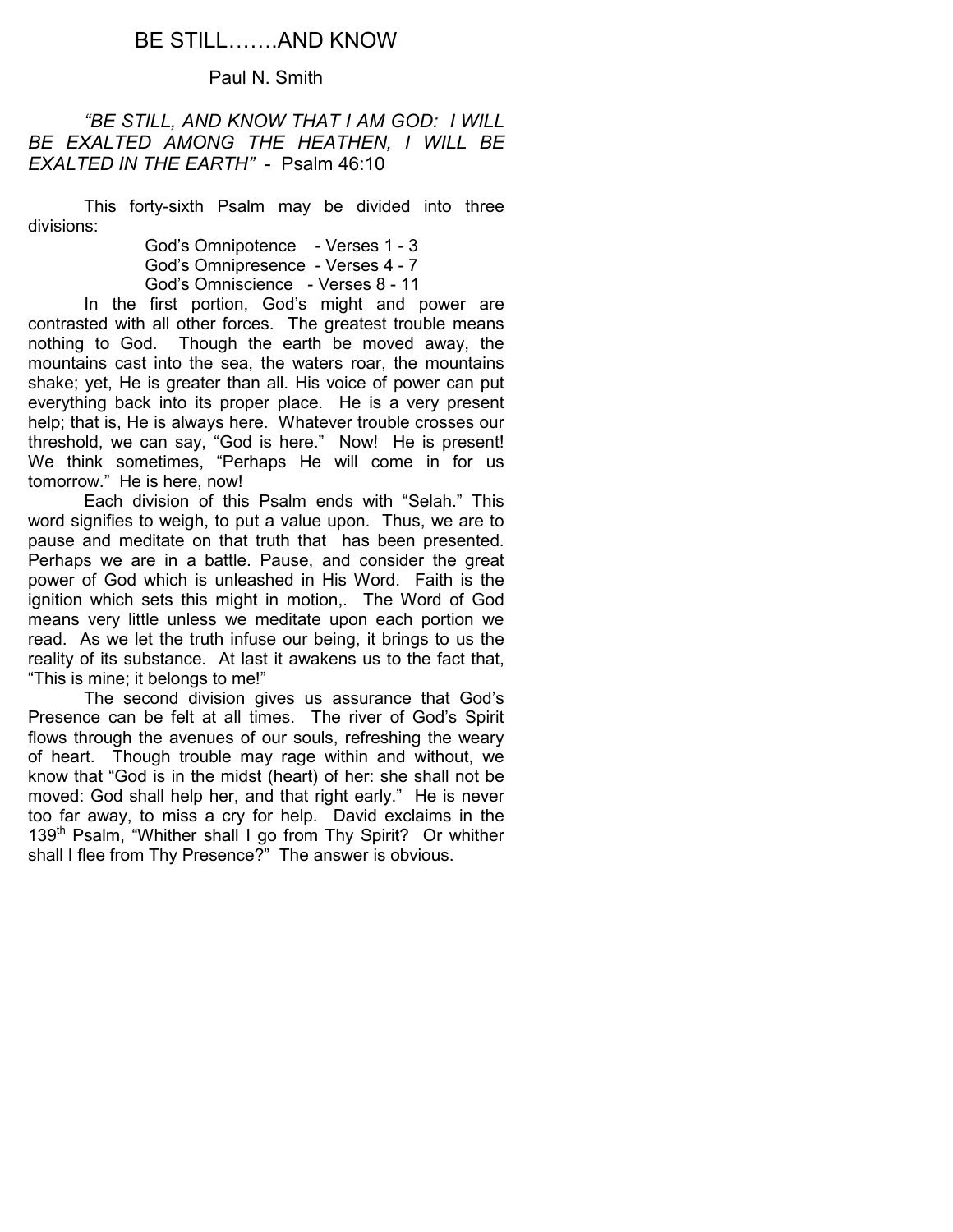## BE STILL…….AND KNOW

## Paul N. Smith

## "BE STILL, AND KNOW THAT I AM GOD: I WILL BE EXALTED AMONG THE HEATHEN, I WILL BE EXALTED IN THE EARTH" - Psalm 46:10

This forty-sixth Psalm may be divided into three divisions:

> God's Omnipotence - Verses 1 - 3 God's Omnipresence - Verses 4 - 7 God's Omniscience - Verses 8 - 11

 In the first portion, God's might and power are contrasted with all other forces. The greatest trouble means nothing to God. Though the earth be moved away, the mountains cast into the sea, the waters roar, the mountains shake; yet, He is greater than all. His voice of power can put everything back into its proper place. He is a very present help; that is, He is always here. Whatever trouble crosses our threshold, we can say, "God is here." Now! He is present! We think sometimes, "Perhaps He will come in for us tomorrow." He is here, now!

 Each division of this Psalm ends with "Selah." This word signifies to weigh, to put a value upon. Thus, we are to pause and meditate on that truth that has been presented. Perhaps we are in a battle. Pause, and consider the great power of God which is unleashed in His Word. Faith is the ignition which sets this might in motion,. The Word of God means very little unless we meditate upon each portion we read. As we let the truth infuse our being, it brings to us the reality of its substance. At last it awakens us to the fact that, "This is mine; it belongs to me!"

 The second division gives us assurance that God's Presence can be felt at all times. The river of God's Spirit flows through the avenues of our souls, refreshing the weary of heart. Though trouble may rage within and without, we know that "God is in the midst (heart) of her: she shall not be moved: God shall help her, and that right early." He is never too far away, to miss a cry for help. David exclaims in the 139<sup>th</sup> Psalm, "Whither shall I go from Thy Spirit? Or whither shall I flee from Thy Presence?" The answer is obvious.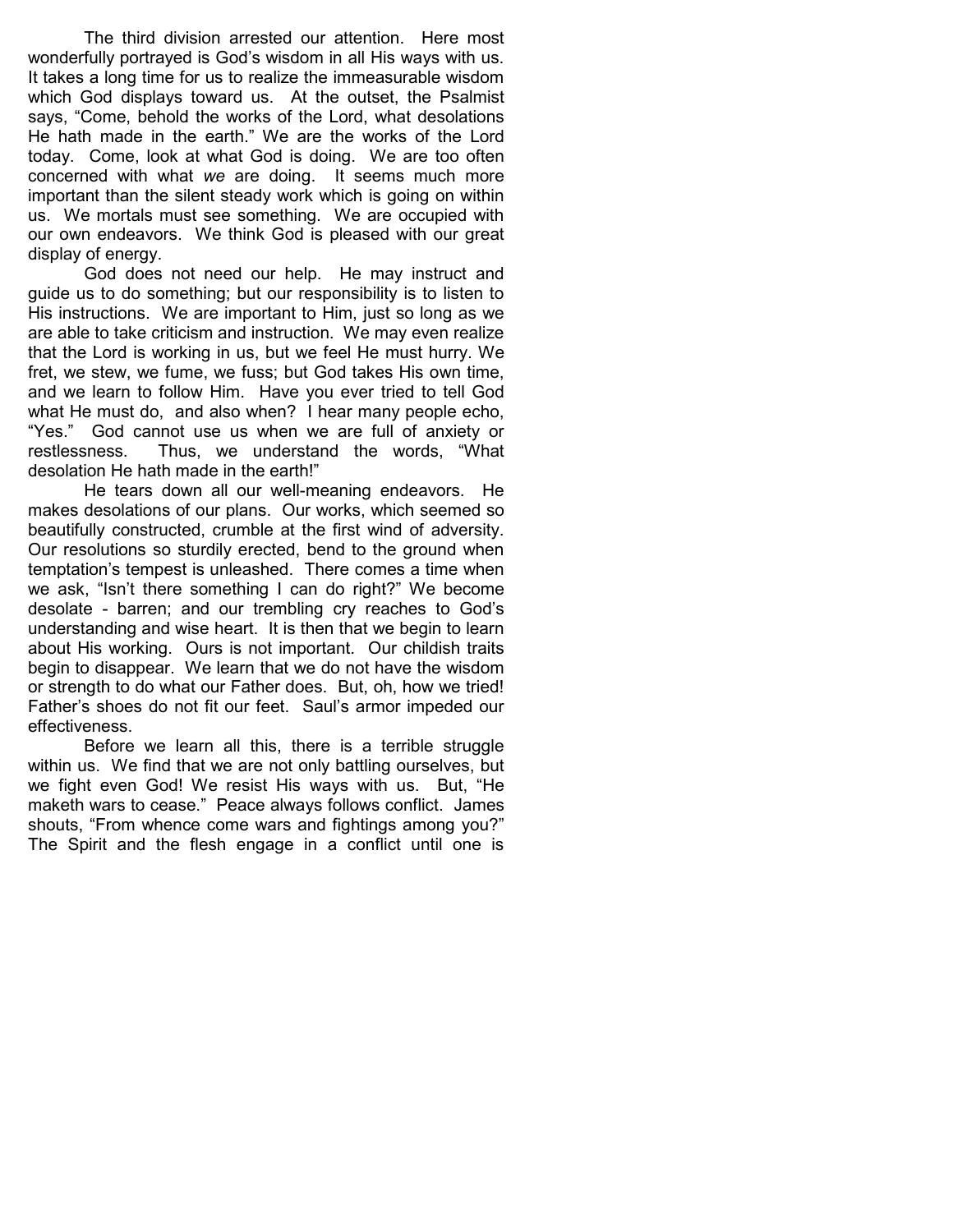The third division arrested our attention. Here most wonderfully portrayed is God's wisdom in all His ways with us. It takes a long time for us to realize the immeasurable wisdom which God displays toward us. At the outset, the Psalmist says, "Come, behold the works of the Lord, what desolations He hath made in the earth." We are the works of the Lord today. Come, look at what God is doing. We are too often concerned with what we are doing. It seems much more important than the silent steady work which is going on within us. We mortals must see something. We are occupied with our own endeavors. We think God is pleased with our great display of energy.

 God does not need our help. He may instruct and guide us to do something; but our responsibility is to listen to His instructions. We are important to Him, just so long as we are able to take criticism and instruction. We may even realize that the Lord is working in us, but we feel He must hurry. We fret, we stew, we fume, we fuss; but God takes His own time, and we learn to follow Him. Have you ever tried to tell God what He must do, and also when? I hear many people echo, "Yes." God cannot use us when we are full of anxiety or restlessness. Thus, we understand the words, "What desolation He hath made in the earth!"

 He tears down all our well-meaning endeavors. He makes desolations of our plans. Our works, which seemed so beautifully constructed, crumble at the first wind of adversity. Our resolutions so sturdily erected, bend to the ground when temptation's tempest is unleashed. There comes a time when we ask, "Isn't there something I can do right?" We become desolate - barren; and our trembling cry reaches to God's understanding and wise heart. It is then that we begin to learn about His working. Ours is not important. Our childish traits begin to disappear. We learn that we do not have the wisdom or strength to do what our Father does. But, oh, how we tried! Father's shoes do not fit our feet. Saul's armor impeded our effectiveness.

Before we learn all this, there is a terrible struggle within us. We find that we are not only battling ourselves, but we fight even God! We resist His ways with us. But, "He maketh wars to cease." Peace always follows conflict. James shouts, "From whence come wars and fightings among you?" The Spirit and the flesh engage in a conflict until one is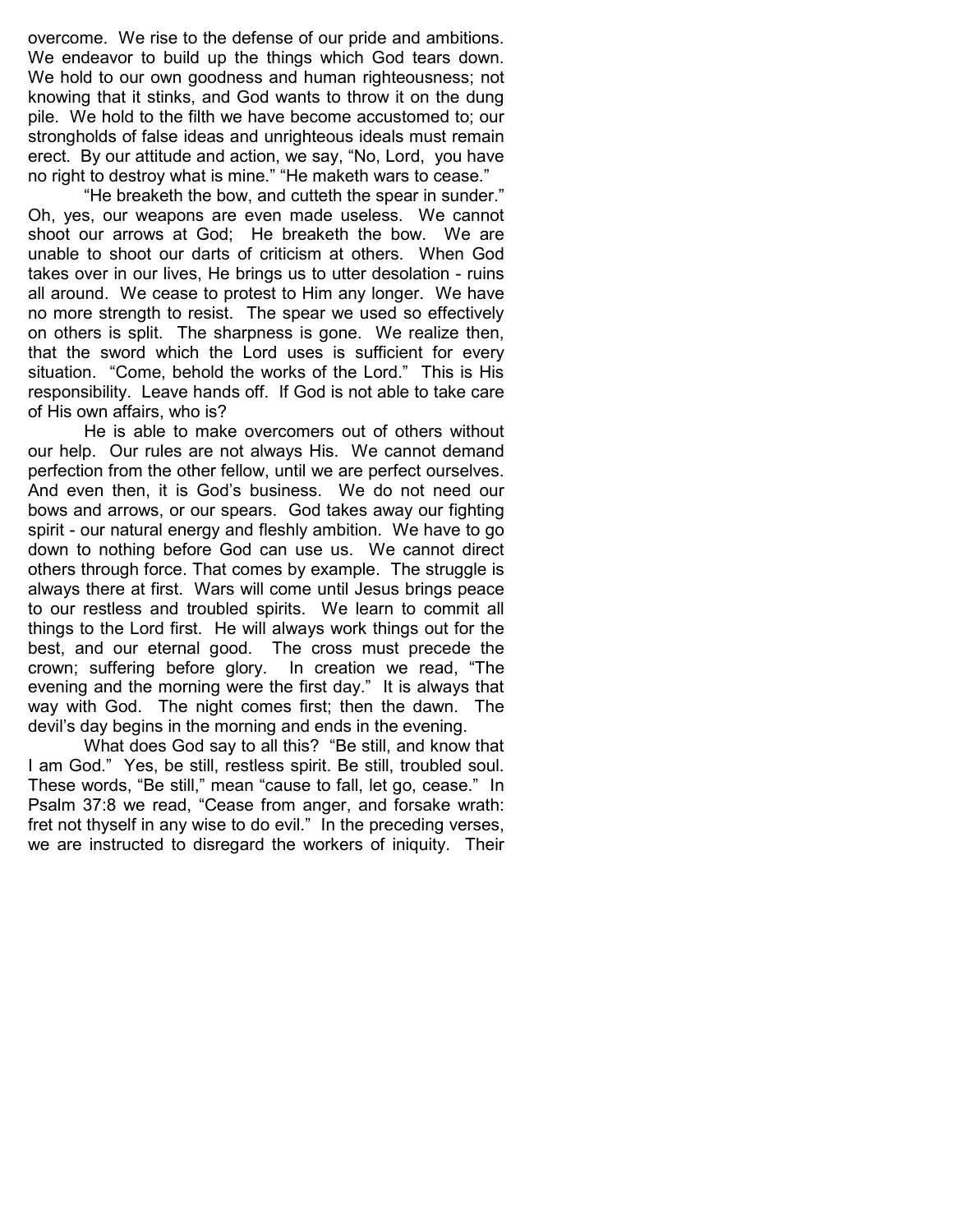overcome. We rise to the defense of our pride and ambitions. We endeavor to build up the things which God tears down. We hold to our own goodness and human righteousness; not knowing that it stinks, and God wants to throw it on the dung pile. We hold to the filth we have become accustomed to; our strongholds of false ideas and unrighteous ideals must remain erect. By our attitude and action, we say, "No, Lord, you have no right to destroy what is mine." "He maketh wars to cease."

 "He breaketh the bow, and cutteth the spear in sunder." Oh, yes, our weapons are even made useless. We cannot shoot our arrows at God; He breaketh the bow. We are unable to shoot our darts of criticism at others. When God takes over in our lives, He brings us to utter desolation - ruins all around. We cease to protest to Him any longer. We have no more strength to resist. The spear we used so effectively on others is split. The sharpness is gone. We realize then, that the sword which the Lord uses is sufficient for every situation. "Come, behold the works of the Lord." This is His responsibility. Leave hands off. If God is not able to take care of His own affairs, who is?

 He is able to make overcomers out of others without our help. Our rules are not always His. We cannot demand perfection from the other fellow, until we are perfect ourselves. And even then, it is God's business. We do not need our bows and arrows, or our spears. God takes away our fighting spirit - our natural energy and fleshly ambition. We have to go down to nothing before God can use us. We cannot direct others through force. That comes by example. The struggle is always there at first. Wars will come until Jesus brings peace to our restless and troubled spirits. We learn to commit all things to the Lord first. He will always work things out for the best, and our eternal good. The cross must precede the crown; suffering before glory. In creation we read, "The evening and the morning were the first day." It is always that way with God. The night comes first; then the dawn. The devil's day begins in the morning and ends in the evening.

 What does God say to all this? "Be still, and know that I am God." Yes, be still, restless spirit. Be still, troubled soul. These words, "Be still," mean "cause to fall, let go, cease." In Psalm 37:8 we read, "Cease from anger, and forsake wrath: fret not thyself in any wise to do evil." In the preceding verses, we are instructed to disregard the workers of iniquity. Their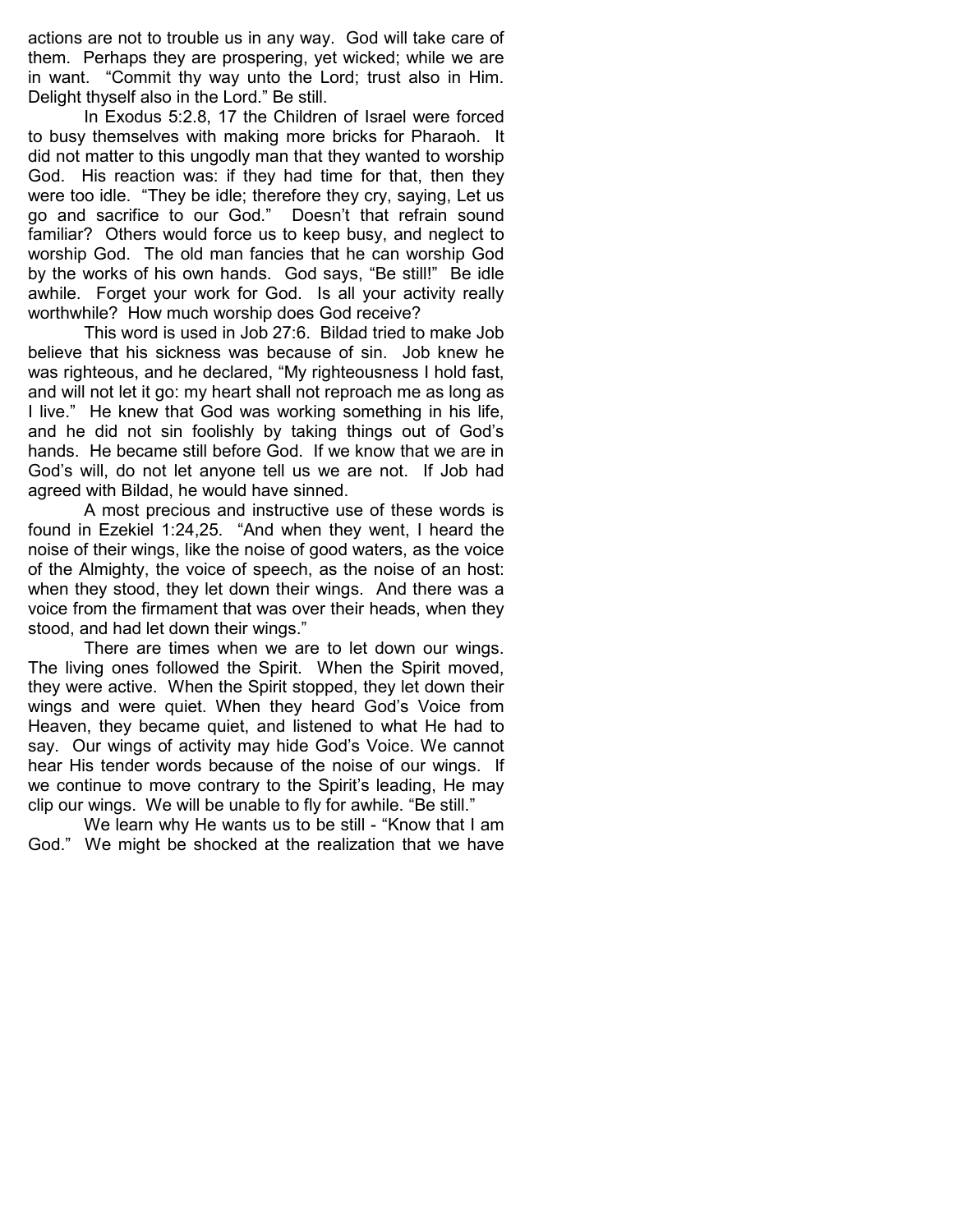actions are not to trouble us in any way. God will take care of them. Perhaps they are prospering, yet wicked; while we are in want. "Commit thy way unto the Lord; trust also in Him. Delight thyself also in the Lord." Be still.

 In Exodus 5:2.8, 17 the Children of Israel were forced to busy themselves with making more bricks for Pharaoh. It did not matter to this ungodly man that they wanted to worship God. His reaction was: if they had time for that, then they were too idle. "They be idle; therefore they cry, saying, Let us go and sacrifice to our God." Doesn't that refrain sound familiar? Others would force us to keep busy, and neglect to worship God. The old man fancies that he can worship God by the works of his own hands. God says, "Be still!" Be idle awhile. Forget your work for God. Is all your activity really worthwhile? How much worship does God receive?

 This word is used in Job 27:6. Bildad tried to make Job believe that his sickness was because of sin. Job knew he was righteous, and he declared, "My righteousness I hold fast, and will not let it go: my heart shall not reproach me as long as I live." He knew that God was working something in his life, and he did not sin foolishly by taking things out of God's hands. He became still before God. If we know that we are in God's will, do not let anyone tell us we are not. If Job had agreed with Bildad, he would have sinned.

 A most precious and instructive use of these words is found in Ezekiel 1:24,25. "And when they went, I heard the noise of their wings, like the noise of good waters, as the voice of the Almighty, the voice of speech, as the noise of an host: when they stood, they let down their wings. And there was a voice from the firmament that was over their heads, when they stood, and had let down their wings."

 There are times when we are to let down our wings. The living ones followed the Spirit. When the Spirit moved, they were active. When the Spirit stopped, they let down their wings and were quiet. When they heard God's Voice from Heaven, they became quiet, and listened to what He had to say. Our wings of activity may hide God's Voice. We cannot hear His tender words because of the noise of our wings. If we continue to move contrary to the Spirit's leading, He may clip our wings. We will be unable to fly for awhile. "Be still."

We learn why He wants us to be still - "Know that I am God." We might be shocked at the realization that we have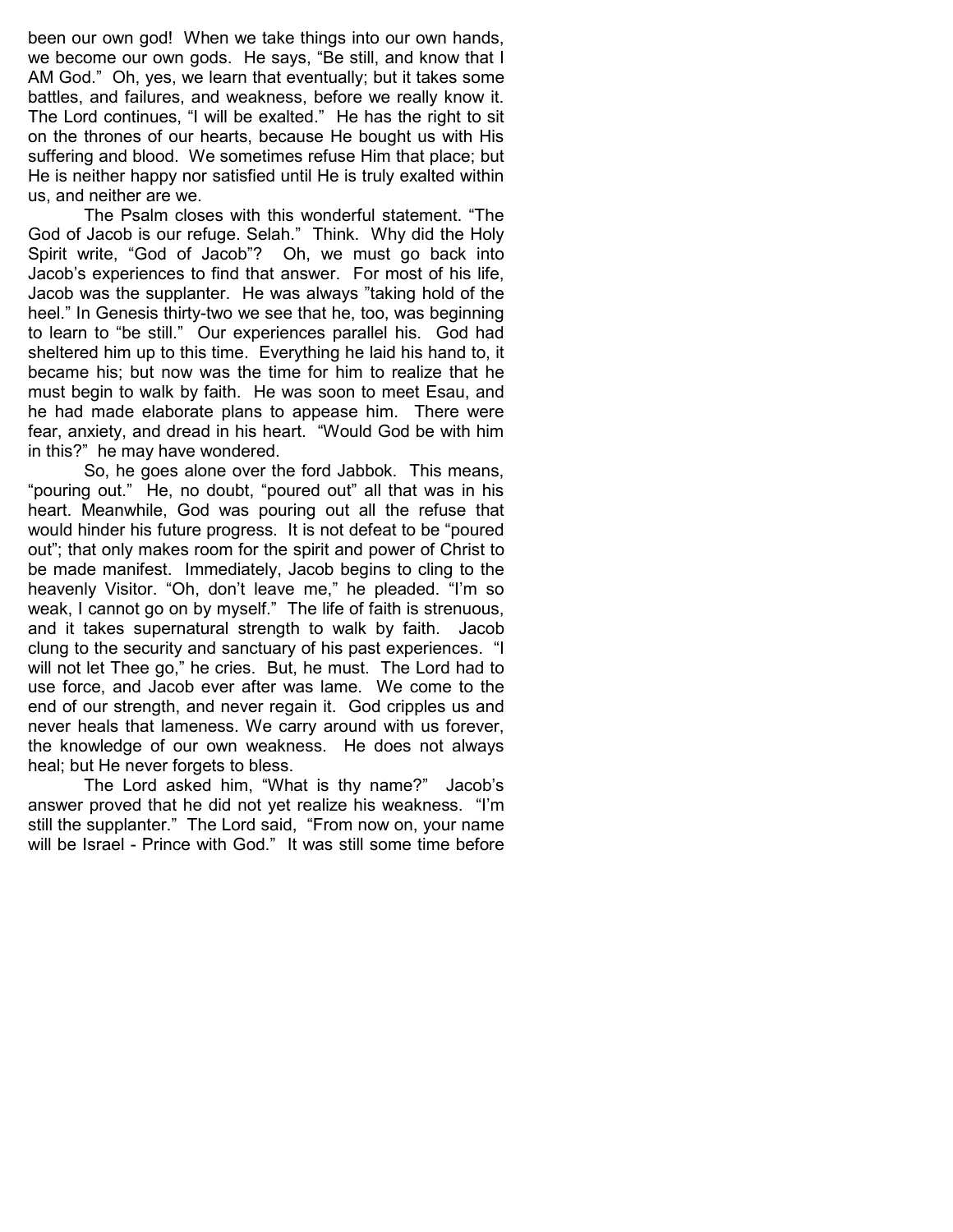been our own god! When we take things into our own hands, we become our own gods. He says, "Be still, and know that I AM God." Oh, yes, we learn that eventually; but it takes some battles, and failures, and weakness, before we really know it. The Lord continues, "I will be exalted." He has the right to sit on the thrones of our hearts, because He bought us with His suffering and blood. We sometimes refuse Him that place; but He is neither happy nor satisfied until He is truly exalted within us, and neither are we.

 The Psalm closes with this wonderful statement. "The God of Jacob is our refuge. Selah." Think. Why did the Holy Spirit write, "God of Jacob"? Oh, we must go back into Jacob's experiences to find that answer. For most of his life, Jacob was the supplanter. He was always "taking hold of the heel." In Genesis thirty-two we see that he, too, was beginning to learn to "be still." Our experiences parallel his. God had sheltered him up to this time. Everything he laid his hand to, it became his; but now was the time for him to realize that he must begin to walk by faith. He was soon to meet Esau, and he had made elaborate plans to appease him. There were fear, anxiety, and dread in his heart. "Would God be with him in this?" he may have wondered.

 So, he goes alone over the ford Jabbok. This means, "pouring out." He, no doubt, "poured out" all that was in his heart. Meanwhile, God was pouring out all the refuse that would hinder his future progress. It is not defeat to be "poured out"; that only makes room for the spirit and power of Christ to be made manifest. Immediately, Jacob begins to cling to the heavenly Visitor. "Oh, don't leave me," he pleaded. "I'm so weak, I cannot go on by myself." The life of faith is strenuous, and it takes supernatural strength to walk by faith. Jacob clung to the security and sanctuary of his past experiences. "I will not let Thee go," he cries. But, he must. The Lord had to use force, and Jacob ever after was lame. We come to the end of our strength, and never regain it. God cripples us and never heals that lameness. We carry around with us forever, the knowledge of our own weakness. He does not always heal; but He never forgets to bless.

 The Lord asked him, "What is thy name?" Jacob's answer proved that he did not yet realize his weakness. "I'm still the supplanter." The Lord said, "From now on, your name will be Israel - Prince with God." It was still some time before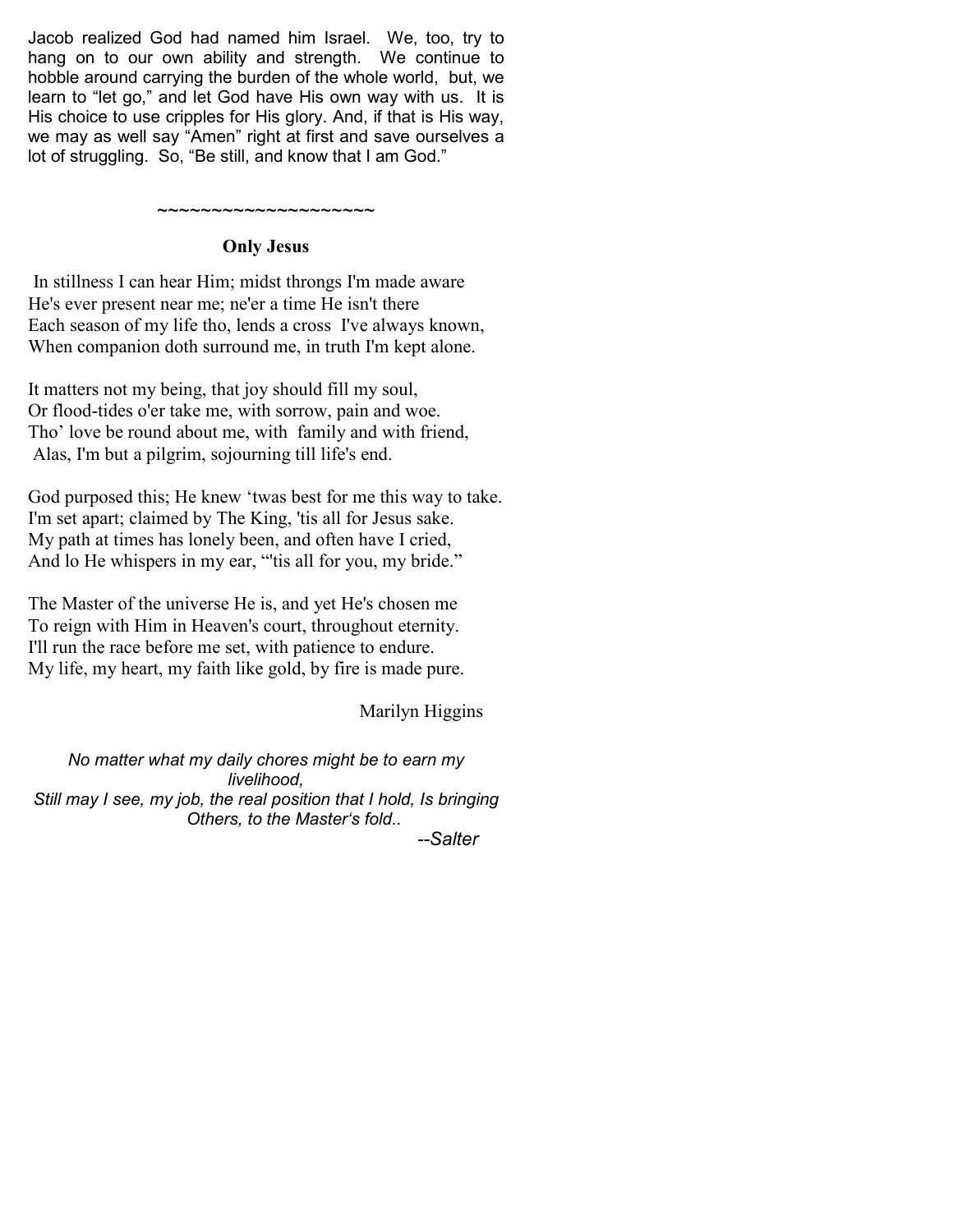Jacob realized God had named him Israel. We, too, try to hang on to our own ability and strength. We continue to hobble around carrying the burden of the whole world, but, we learn to "let go," and let God have His own way with us. It is His choice to use cripples for His glory. And, if that is His way, we may as well say "Amen" right at first and save ourselves a lot of struggling. So, "Be still, and know that I am God."

#### Only Jesus

~~~~~~~~~~~~~~~~~~~~

In stillness I can hear Him; midst throngs I'm made aware He's ever present near me; ne'er a time He isn't there Each season of my life tho, lends a cross I've always known, When companion doth surround me, in truth I'm kept alone.

It matters not my being, that joy should fill my soul, Or flood-tides o'er take me, with sorrow, pain and woe. Tho' love be round about me, with family and with friend, Alas, I'm but a pilgrim, sojourning till life's end.

God purposed this; He knew 'twas best for me this way to take. I'm set apart; claimed by The King, 'tis all for Jesus sake. My path at times has lonely been, and often have I cried, And lo He whispers in my ear, "'tis all for you, my bride."

The Master of the universe He is, and yet He's chosen me To reign with Him in Heaven's court, throughout eternity. I'll run the race before me set, with patience to endure. My life, my heart, my faith like gold, by fire is made pure.

Marilyn Higgins

No matter what my daily chores might be to earn my livelihood, Still may I see, my job, the real position that I hold, Is bringing Others, to the Master's fold..

--Salter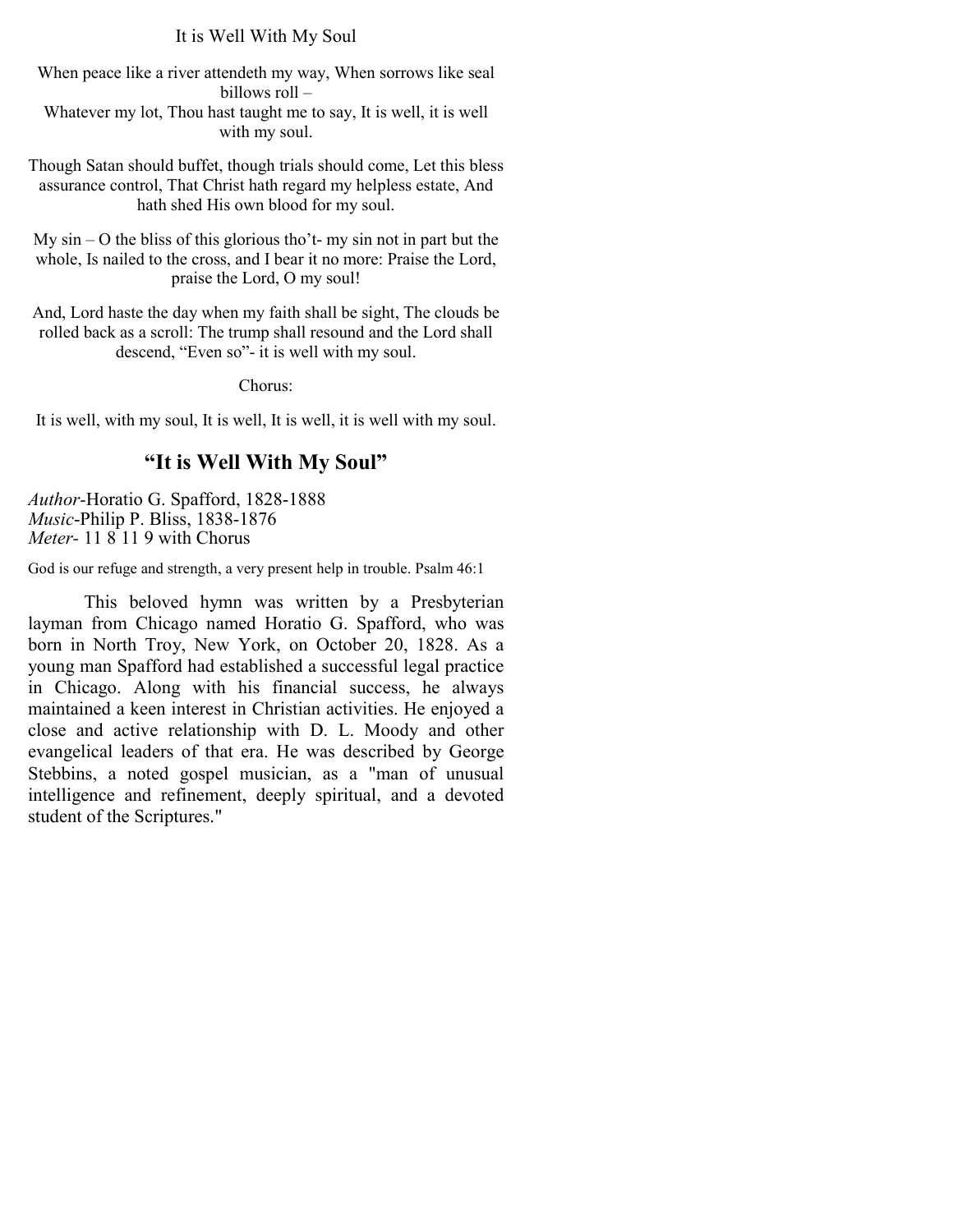#### It is Well With My Soul

When peace like a river attendeth my way, When sorrows like seal billows roll –

Whatever my lot, Thou hast taught me to say, It is well, it is well with my soul.

Though Satan should buffet, though trials should come, Let this bless assurance control, That Christ hath regard my helpless estate, And hath shed His own blood for my soul.

My  $\sin - O$  the bliss of this glorious tho't- my sin not in part but the whole, Is nailed to the cross, and I bear it no more: Praise the Lord, praise the Lord, O my soul!

And, Lord haste the day when my faith shall be sight, The clouds be rolled back as a scroll: The trump shall resound and the Lord shall descend, "Even so"- it is well with my soul.

Chorus:

It is well, with my soul, It is well, It is well, it is well with my soul.

## "It is Well With My Soul"

Author-Horatio G. Spafford, 1828-1888 Music-Philip P. Bliss, 1838-1876 *Meter*- 11  $8$  11 9 with Chorus

God is our refuge and strength, a very present help in trouble. Psalm 46:1

This beloved hymn was written by a Presbyterian layman from Chicago named Horatio G. Spafford, who was born in North Troy, New York, on October 20, 1828. As a young man Spafford had established a successful legal practice in Chicago. Along with his financial success, he always maintained a keen interest in Christian activities. He enjoyed a close and active relationship with D. L. Moody and other evangelical leaders of that era. He was described by George Stebbins, a noted gospel musician, as a "man of unusual intelligence and refinement, deeply spiritual, and a devoted student of the Scriptures."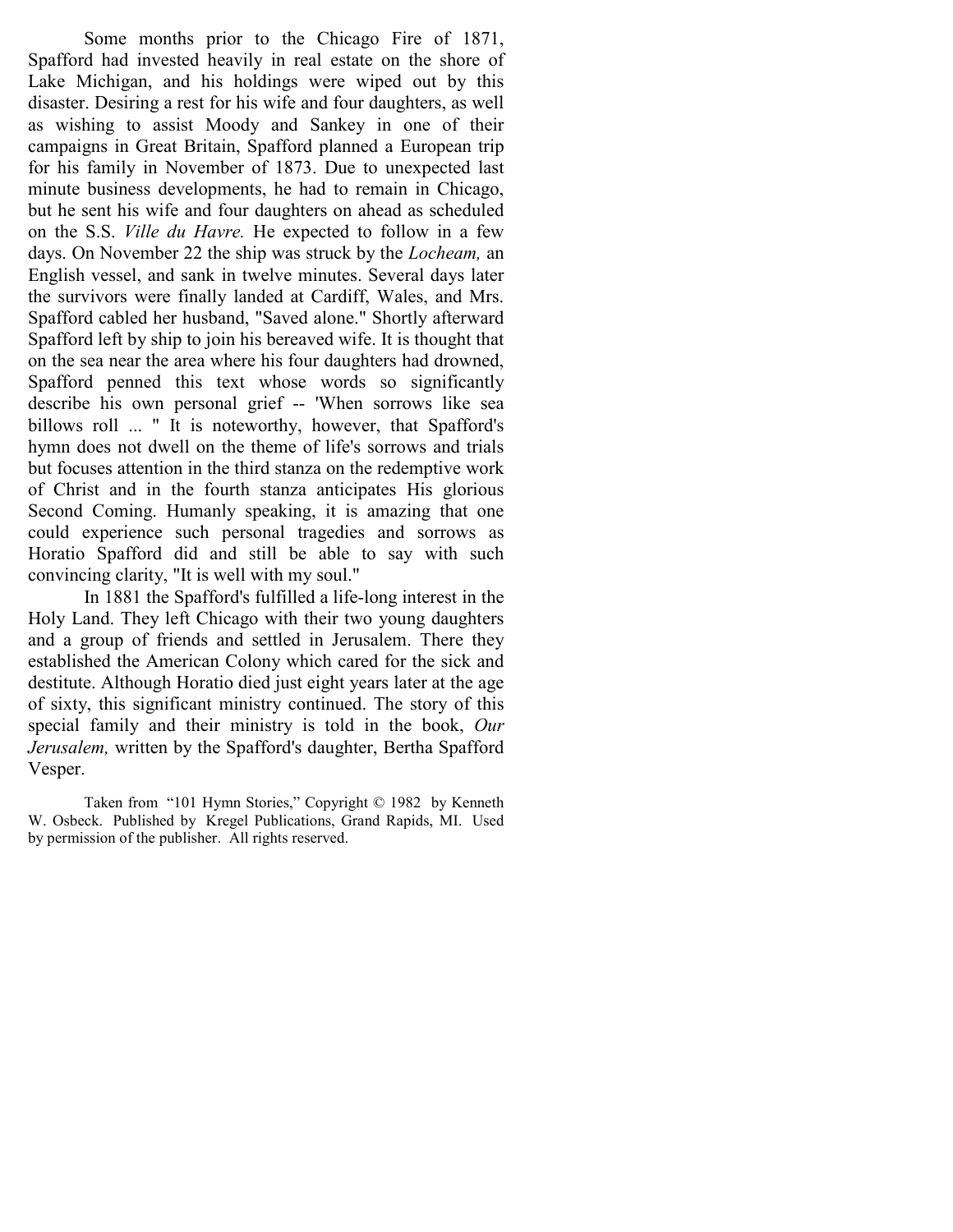Some months prior to the Chicago Fire of 1871, Spafford had invested heavily in real estate on the shore of Lake Michigan, and his holdings were wiped out by this disaster. Desiring a rest for his wife and four daughters, as well as wishing to assist Moody and Sankey in one of their campaigns in Great Britain, Spafford planned a European trip for his family in November of 1873. Due to unexpected last minute business developments, he had to remain in Chicago, but he sent his wife and four daughters on ahead as scheduled on the S.S. Ville du Havre. He expected to follow in a few days. On November 22 the ship was struck by the *Locheam*, an English vessel, and sank in twelve minutes. Several days later the survivors were finally landed at Cardiff, Wales, and Mrs. Spafford cabled her husband, "Saved alone." Shortly afterward Spafford left by ship to join his bereaved wife. It is thought that on the sea near the area where his four daughters had drowned, Spafford penned this text whose words so significantly describe his own personal grief -- 'When sorrows like sea billows roll ... " It is noteworthy, however, that Spafford's hymn does not dwell on the theme of life's sorrows and trials but focuses attention in the third stanza on the redemptive work of Christ and in the fourth stanza anticipates His glorious Second Coming. Humanly speaking, it is amazing that one could experience such personal tragedies and sorrows as Horatio Spafford did and still be able to say with such convincing clarity, "It is well with my soul."

In 1881 the Spafford's fulfilled a life-long interest in the Holy Land. They left Chicago with their two young daughters and a group of friends and settled in Jerusalem. There they established the American Colony which cared for the sick and destitute. Although Horatio died just eight years later at the age of sixty, this significant ministry continued. The story of this special family and their ministry is told in the book, Our Jerusalem, written by the Spafford's daughter, Bertha Spafford Vesper.

Taken from "101 Hymn Stories," Copyright © 1982 by Kenneth W. Osbeck. Published by Kregel Publications, Grand Rapids, MI. Used by permission of the publisher. All rights reserved.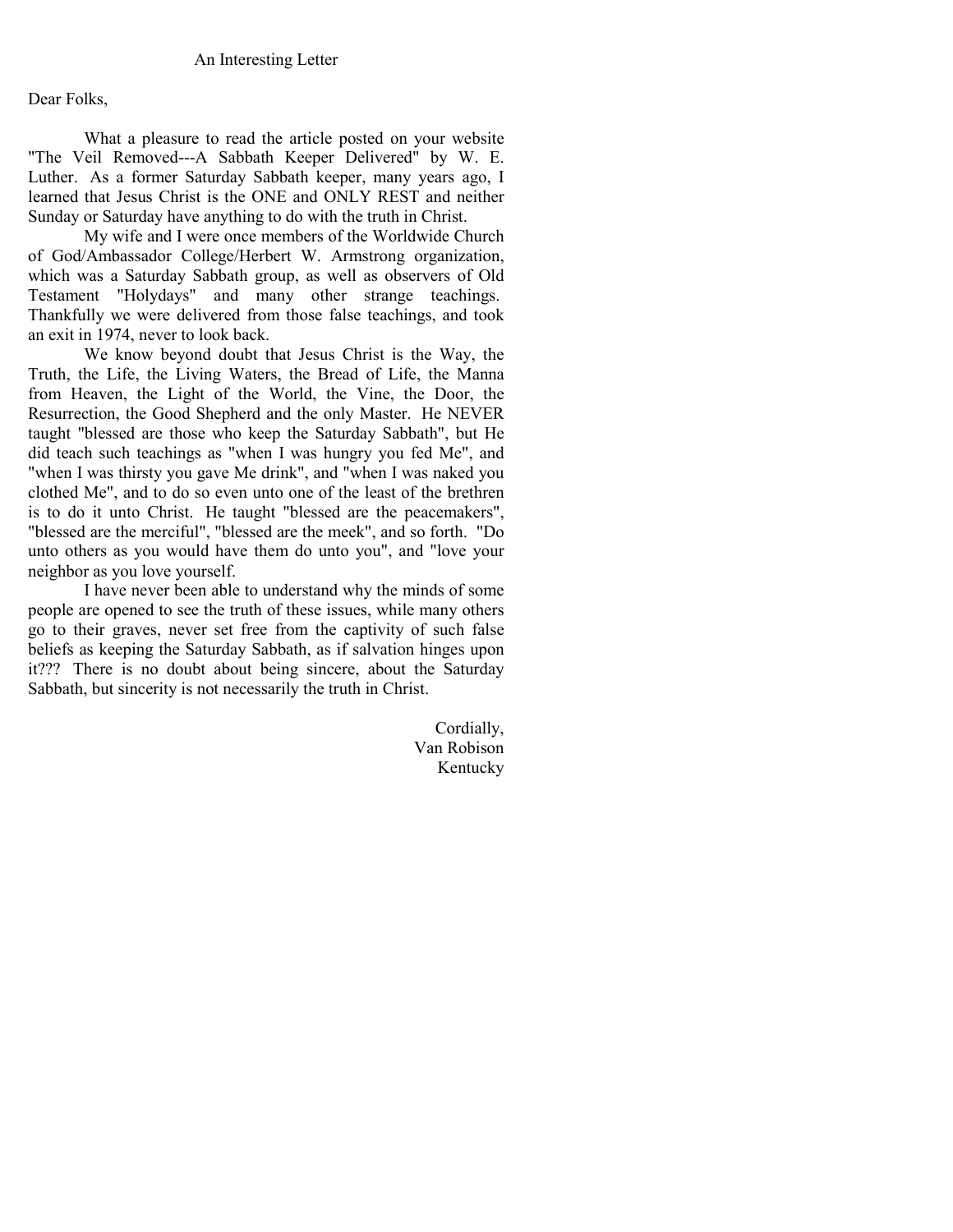Dear Folks,

What a pleasure to read the article posted on your website "The Veil Removed---A Sabbath Keeper Delivered" by W. E. Luther. As a former Saturday Sabbath keeper, many years ago, I learned that Jesus Christ is the ONE and ONLY REST and neither Sunday or Saturday have anything to do with the truth in Christ.

My wife and I were once members of the Worldwide Church of God/Ambassador College/Herbert W. Armstrong organization, which was a Saturday Sabbath group, as well as observers of Old Testament "Holydays" and many other strange teachings. Thankfully we were delivered from those false teachings, and took an exit in 1974, never to look back.

We know beyond doubt that Jesus Christ is the Way, the Truth, the Life, the Living Waters, the Bread of Life, the Manna from Heaven, the Light of the World, the Vine, the Door, the Resurrection, the Good Shepherd and the only Master. He NEVER taught "blessed are those who keep the Saturday Sabbath", but He did teach such teachings as "when I was hungry you fed Me", and "when I was thirsty you gave Me drink", and "when I was naked you clothed Me", and to do so even unto one of the least of the brethren is to do it unto Christ. He taught "blessed are the peacemakers", "blessed are the merciful", "blessed are the meek", and so forth. "Do unto others as you would have them do unto you", and "love your neighbor as you love yourself.

I have never been able to understand why the minds of some people are opened to see the truth of these issues, while many others go to their graves, never set free from the captivity of such false beliefs as keeping the Saturday Sabbath, as if salvation hinges upon it??? There is no doubt about being sincere, about the Saturday Sabbath, but sincerity is not necessarily the truth in Christ.

> Cordially, Van Robison Kentucky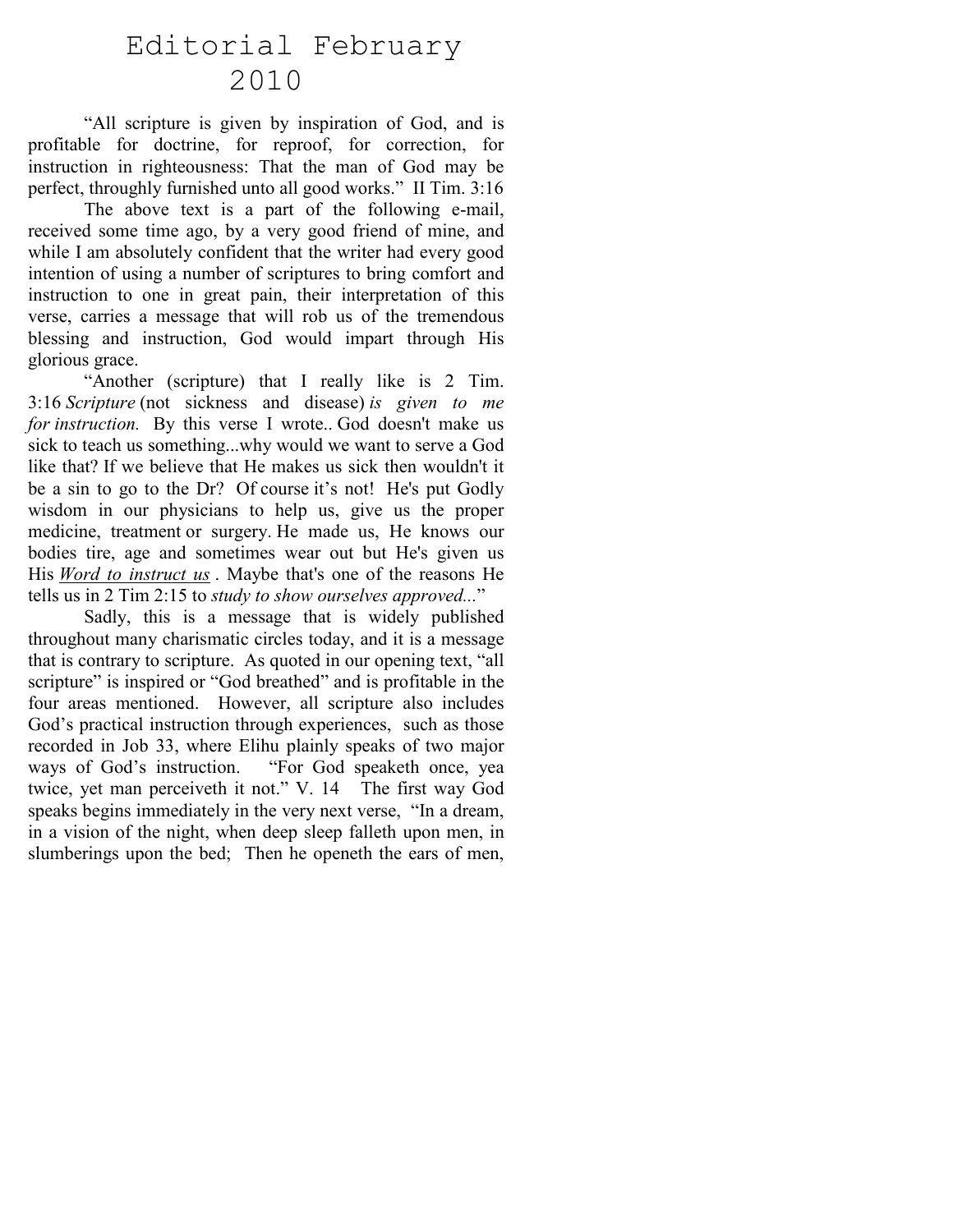## Editorial February 2010

"All scripture is given by inspiration of God, and is profitable for doctrine, for reproof, for correction, for instruction in righteousness: That the man of God may be perfect, throughly furnished unto all good works." II Tim. 3:16

The above text is a part of the following e-mail, received some time ago, by a very good friend of mine, and while I am absolutely confident that the writer had every good intention of using a number of scriptures to bring comfort and instruction to one in great pain, their interpretation of this verse, carries a message that will rob us of the tremendous blessing and instruction, God would impart through His glorious grace.

"Another (scripture) that I really like is 2 Tim. 3:16 Scripture (not sickness and disease) is given to me for instruction. By this verse I wrote.. God doesn't make us sick to teach us something...why would we want to serve a God like that? If we believe that He makes us sick then wouldn't it be a sin to go to the Dr? Of course it's not! He's put Godly wisdom in our physicians to help us, give us the proper medicine, treatment or surgery. He made us, He knows our bodies tire, age and sometimes wear out but He's given us His Word to instruct us . Maybe that's one of the reasons He tells us in 2 Tim 2:15 to study to show ourselves approved..."

Sadly, this is a message that is widely published throughout many charismatic circles today, and it is a message that is contrary to scripture. As quoted in our opening text, "all scripture" is inspired or "God breathed" and is profitable in the four areas mentioned. However, all scripture also includes God's practical instruction through experiences, such as those recorded in Job 33, where Elihu plainly speaks of two major ways of God's instruction. "For God speaketh once, yea twice, yet man perceiveth it not." V. 14 The first way God speaks begins immediately in the very next verse, "In a dream, in a vision of the night, when deep sleep falleth upon men, in slumberings upon the bed; Then he openeth the ears of men,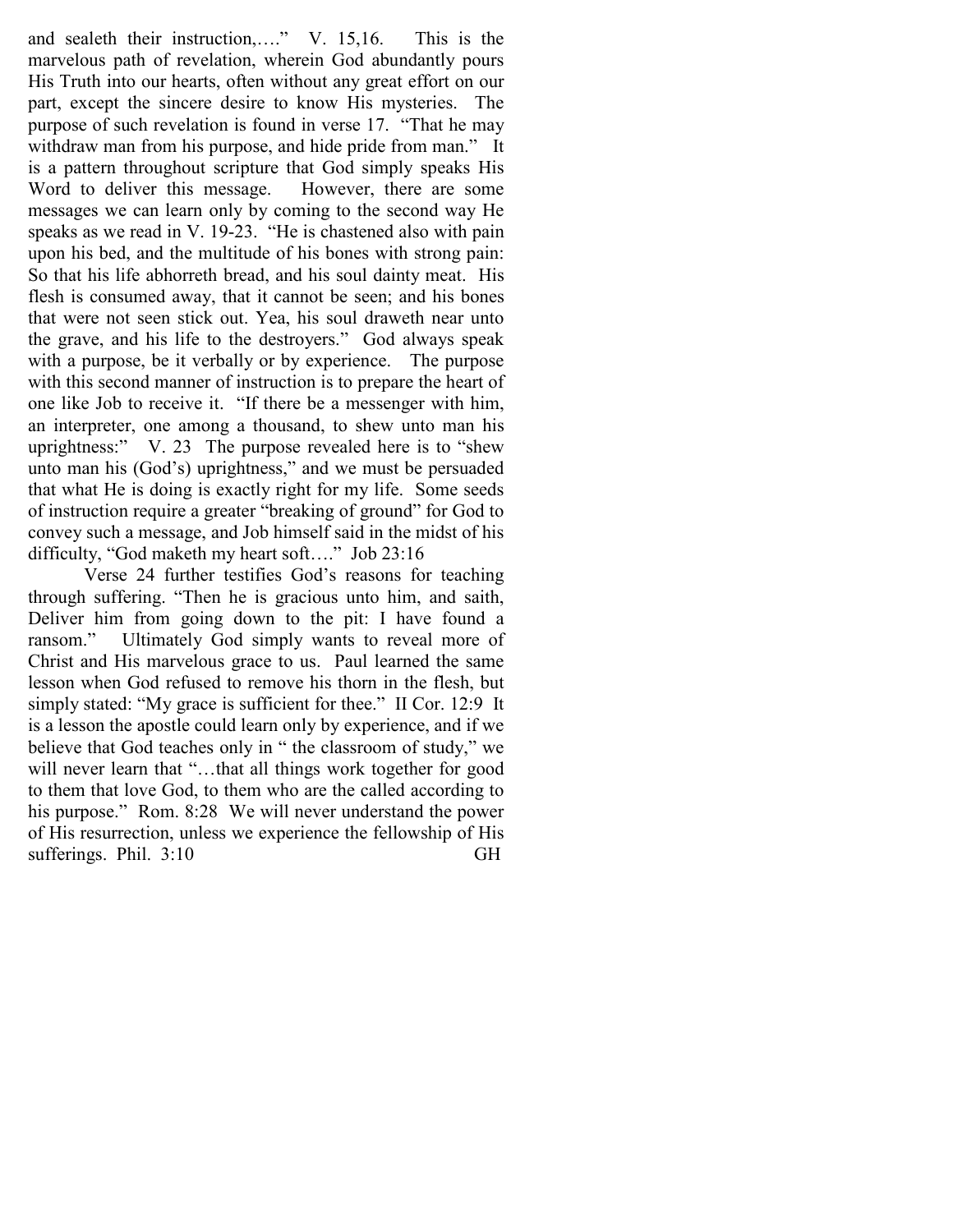and sealeth their instruction,…." V. 15,16. This is the marvelous path of revelation, wherein God abundantly pours His Truth into our hearts, often without any great effort on our part, except the sincere desire to know His mysteries. The purpose of such revelation is found in verse 17. "That he may withdraw man from his purpose, and hide pride from man." It is a pattern throughout scripture that God simply speaks His<br>Word to deliver this message. However, there are some Word to deliver this message. messages we can learn only by coming to the second way He speaks as we read in V. 19-23. "He is chastened also with pain upon his bed, and the multitude of his bones with strong pain: So that his life abhorreth bread, and his soul dainty meat. His flesh is consumed away, that it cannot be seen; and his bones that were not seen stick out. Yea, his soul draweth near unto the grave, and his life to the destroyers." God always speak with a purpose, be it verbally or by experience. The purpose with this second manner of instruction is to prepare the heart of one like Job to receive it. "If there be a messenger with him, an interpreter, one among a thousand, to shew unto man his uprightness:" V. 23 The purpose revealed here is to "shew unto man his (God's) uprightness," and we must be persuaded that what He is doing is exactly right for my life. Some seeds of instruction require a greater "breaking of ground" for God to convey such a message, and Job himself said in the midst of his difficulty, "God maketh my heart soft…." Job 23:16

Verse 24 further testifies God's reasons for teaching through suffering. "Then he is gracious unto him, and saith, Deliver him from going down to the pit: I have found a ransom." Ultimately God simply wants to reveal more of Christ and His marvelous grace to us. Paul learned the same lesson when God refused to remove his thorn in the flesh, but simply stated: "My grace is sufficient for thee." II Cor. 12:9 It is a lesson the apostle could learn only by experience, and if we believe that God teaches only in " the classroom of study," we will never learn that "...that all things work together for good to them that love God, to them who are the called according to his purpose." Rom. 8:28 We will never understand the power of His resurrection, unless we experience the fellowship of His sufferings. Phil. 3:10 GH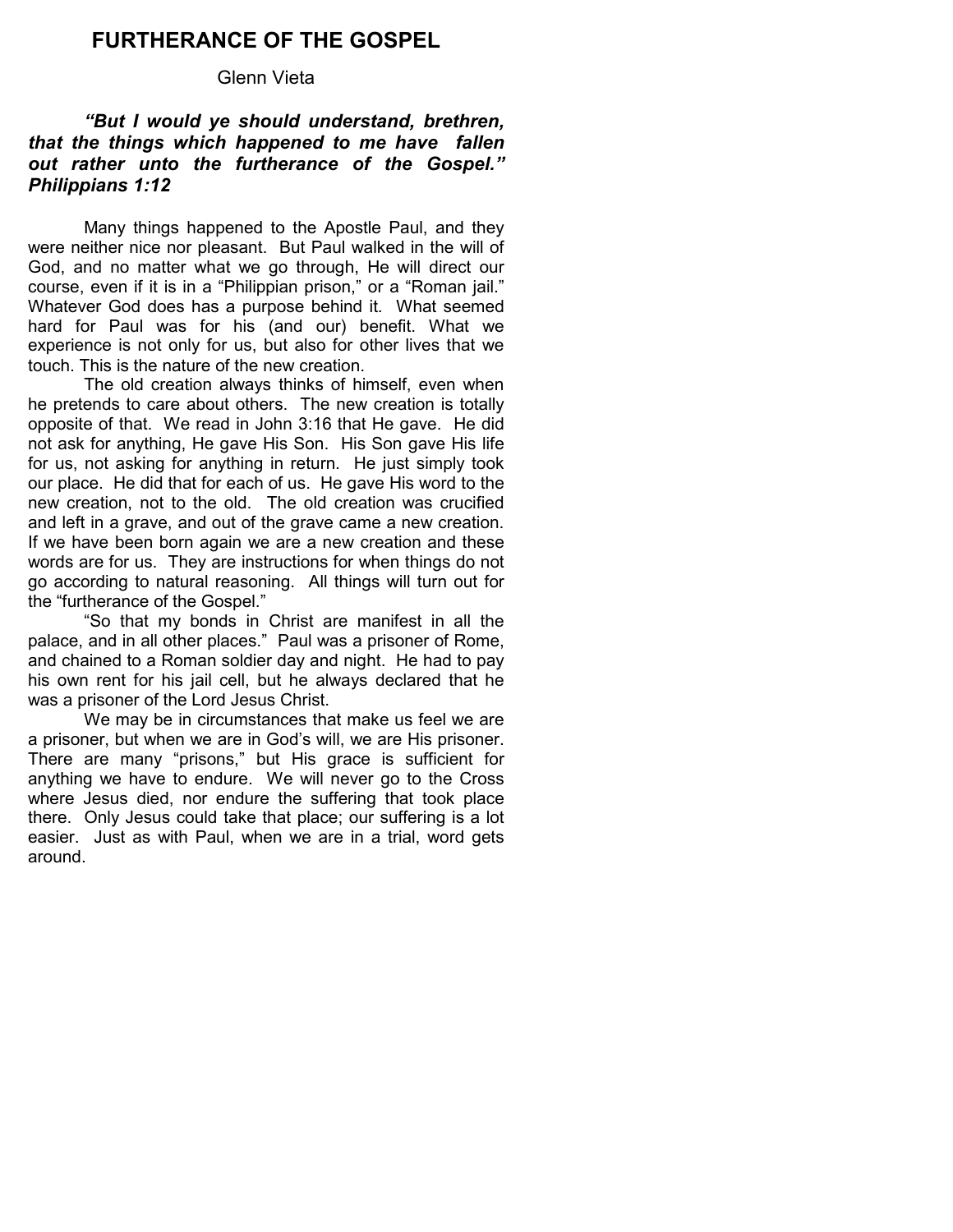## FURTHERANCE OF THE GOSPEL

#### Glenn Vieta

## "But I would ye should understand, brethren, that the things which happened to me have fallen out rather unto the furtherance of the Gospel." Philippians 1:12

 Many things happened to the Apostle Paul, and they were neither nice nor pleasant. But Paul walked in the will of God, and no matter what we go through, He will direct our course, even if it is in a "Philippian prison," or a "Roman jail." Whatever God does has a purpose behind it. What seemed hard for Paul was for his (and our) benefit. What we experience is not only for us, but also for other lives that we touch. This is the nature of the new creation.

 The old creation always thinks of himself, even when he pretends to care about others. The new creation is totally opposite of that. We read in John 3:16 that He gave. He did not ask for anything, He gave His Son. His Son gave His life for us, not asking for anything in return. He just simply took our place. He did that for each of us. He gave His word to the new creation, not to the old. The old creation was crucified and left in a grave, and out of the grave came a new creation. If we have been born again we are a new creation and these words are for us. They are instructions for when things do not go according to natural reasoning. All things will turn out for the "furtherance of the Gospel."

 "So that my bonds in Christ are manifest in all the palace, and in all other places." Paul was a prisoner of Rome, and chained to a Roman soldier day and night. He had to pay his own rent for his jail cell, but he always declared that he was a prisoner of the Lord Jesus Christ.

 We may be in circumstances that make us feel we are a prisoner, but when we are in God's will, we are His prisoner. There are many "prisons," but His grace is sufficient for anything we have to endure. We will never go to the Cross where Jesus died, nor endure the suffering that took place there. Only Jesus could take that place; our suffering is a lot easier. Just as with Paul, when we are in a trial, word gets around.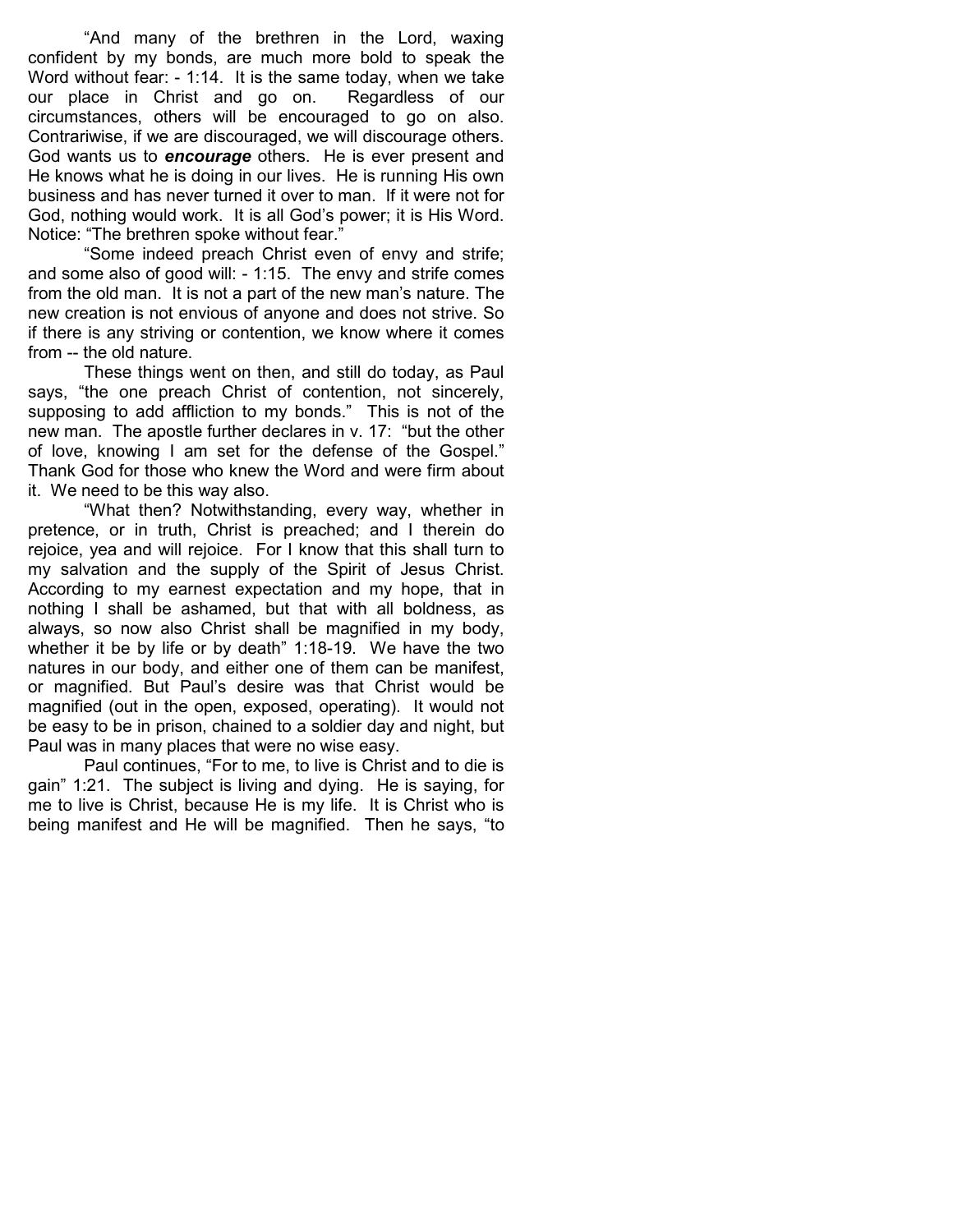"And many of the brethren in the Lord, waxing confident by my bonds, are much more bold to speak the Word without fear: - 1:14. It is the same today, when we take our place in Christ and go on. Regardless of our circumstances, others will be encouraged to go on also. Contrariwise, if we are discouraged, we will discourage others. God wants us to *encourage* others. He is ever present and He knows what he is doing in our lives. He is running His own business and has never turned it over to man. If it were not for God, nothing would work. It is all God's power; it is His Word. Notice: "The brethren spoke without fear."

 "Some indeed preach Christ even of envy and strife; and some also of good will: - 1:15. The envy and strife comes from the old man. It is not a part of the new man's nature. The new creation is not envious of anyone and does not strive. So if there is any striving or contention, we know where it comes from -- the old nature.

 These things went on then, and still do today, as Paul says, "the one preach Christ of contention, not sincerely, supposing to add affliction to my bonds." This is not of the new man. The apostle further declares in v. 17: "but the other of love, knowing I am set for the defense of the Gospel." Thank God for those who knew the Word and were firm about it. We need to be this way also.

 "What then? Notwithstanding, every way, whether in pretence, or in truth, Christ is preached; and I therein do rejoice, yea and will rejoice. For I know that this shall turn to my salvation and the supply of the Spirit of Jesus Christ. According to my earnest expectation and my hope, that in nothing I shall be ashamed, but that with all boldness, as always, so now also Christ shall be magnified in my body, whether it be by life or by death" 1:18-19. We have the two natures in our body, and either one of them can be manifest, or magnified. But Paul's desire was that Christ would be magnified (out in the open, exposed, operating). It would not be easy to be in prison, chained to a soldier day and night, but Paul was in many places that were no wise easy.

 Paul continues, "For to me, to live is Christ and to die is gain" 1:21. The subject is living and dying. He is saying, for me to live is Christ, because He is my life. It is Christ who is being manifest and He will be magnified. Then he says, "to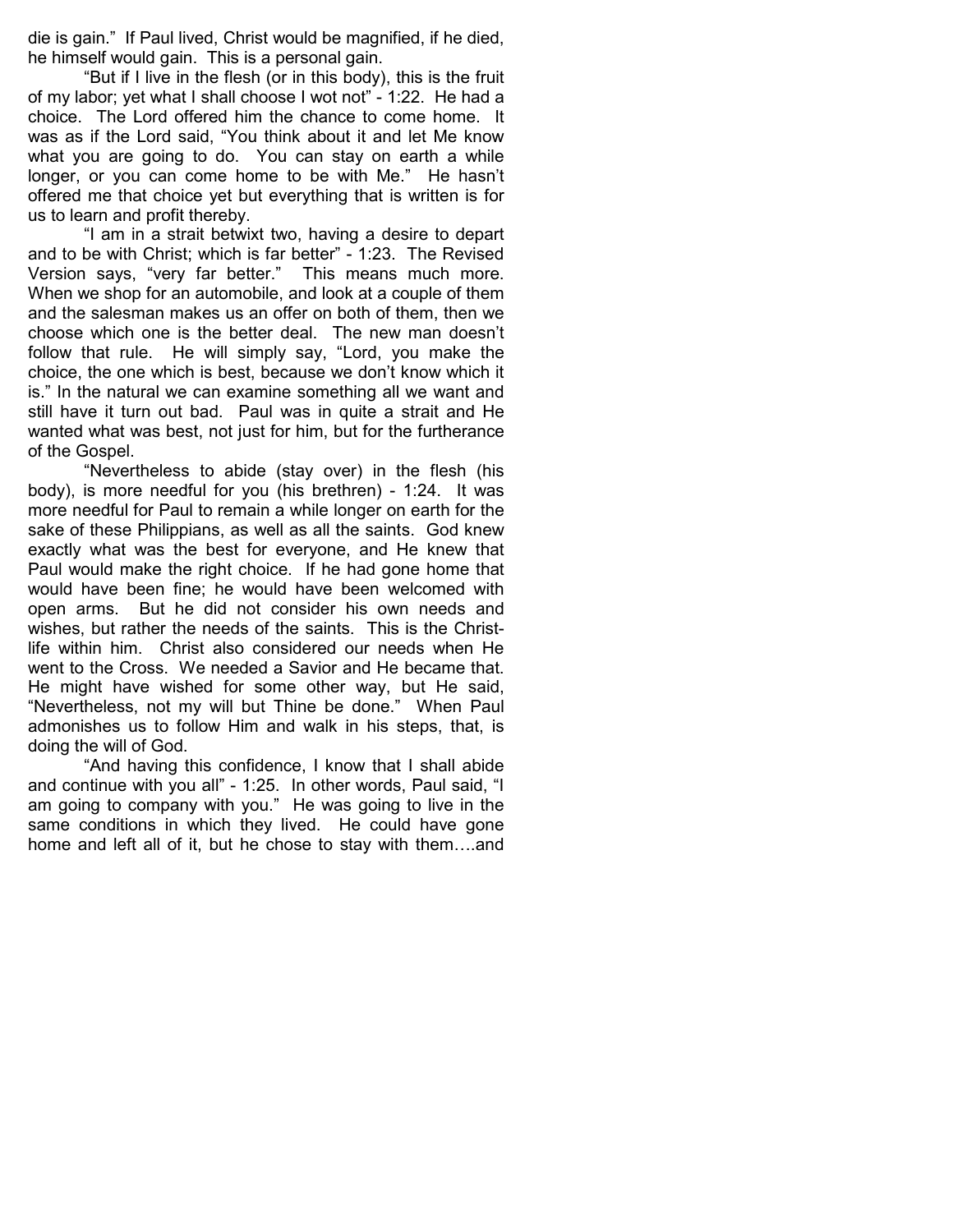die is gain." If Paul lived, Christ would be magnified, if he died, he himself would gain. This is a personal gain.

 "But if I live in the flesh (or in this body), this is the fruit of my labor; yet what I shall choose I wot not" - 1:22. He had a choice. The Lord offered him the chance to come home. It was as if the Lord said, "You think about it and let Me know what you are going to do. You can stay on earth a while longer, or you can come home to be with Me." He hasn't offered me that choice yet but everything that is written is for us to learn and profit thereby.

 "I am in a strait betwixt two, having a desire to depart and to be with Christ; which is far better" - 1:23. The Revised Version says, "very far better." This means much more. When we shop for an automobile, and look at a couple of them and the salesman makes us an offer on both of them, then we choose which one is the better deal. The new man doesn't follow that rule. He will simply say, "Lord, you make the choice, the one which is best, because we don't know which it is." In the natural we can examine something all we want and still have it turn out bad. Paul was in quite a strait and He wanted what was best, not just for him, but for the furtherance of the Gospel.

 "Nevertheless to abide (stay over) in the flesh (his body), is more needful for you (his brethren) - 1:24. It was more needful for Paul to remain a while longer on earth for the sake of these Philippians, as well as all the saints. God knew exactly what was the best for everyone, and He knew that Paul would make the right choice. If he had gone home that would have been fine; he would have been welcomed with open arms. But he did not consider his own needs and wishes, but rather the needs of the saints. This is the Christlife within him. Christ also considered our needs when He went to the Cross. We needed a Savior and He became that. He might have wished for some other way, but He said, "Nevertheless, not my will but Thine be done." When Paul admonishes us to follow Him and walk in his steps, that, is doing the will of God.

 "And having this confidence, I know that I shall abide and continue with you all" - 1:25. In other words, Paul said, "I am going to company with you." He was going to live in the same conditions in which they lived. He could have gone home and left all of it, but he chose to stay with them….and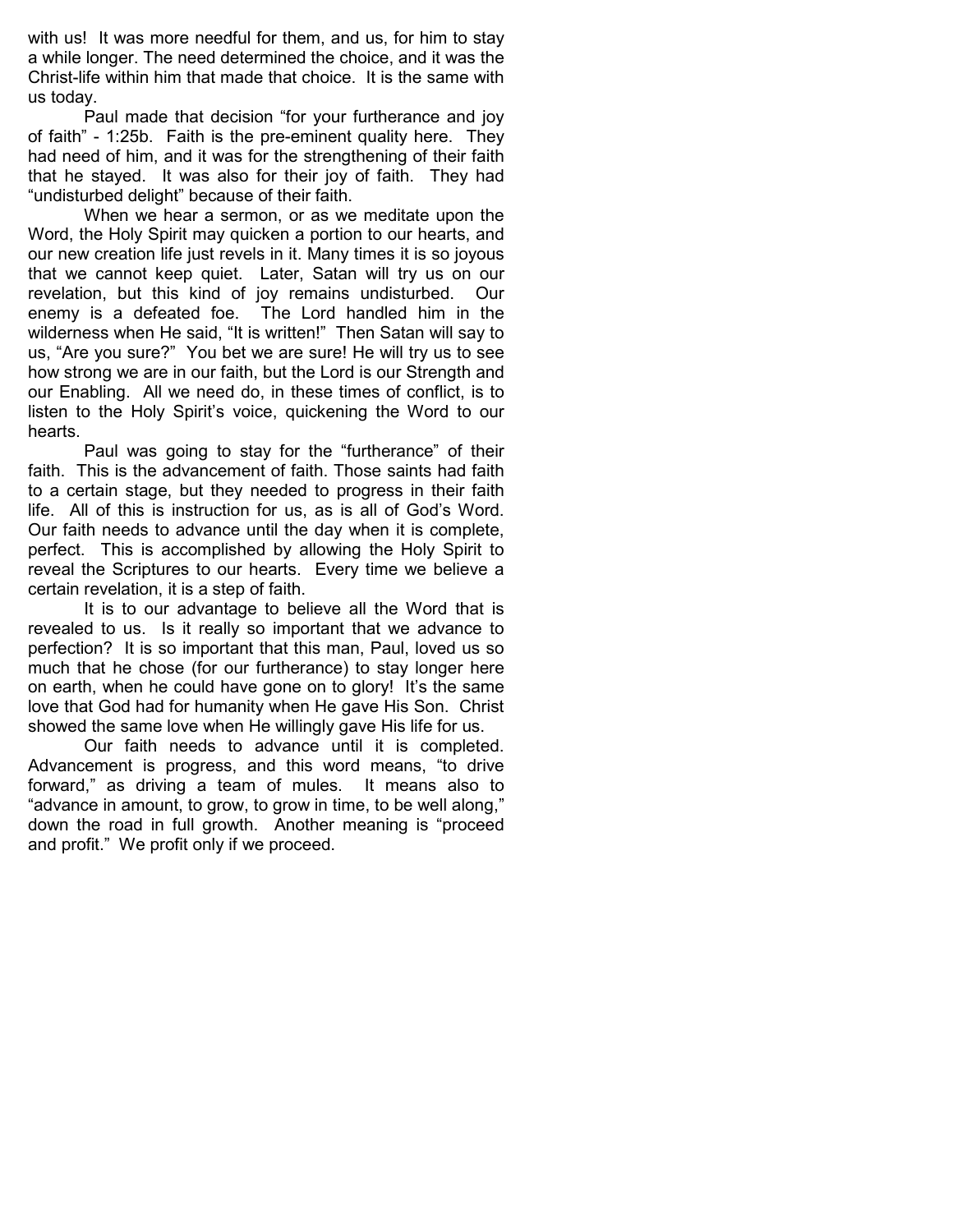with us! It was more needful for them, and us, for him to stay a while longer. The need determined the choice, and it was the Christ-life within him that made that choice. It is the same with us today.

 Paul made that decision "for your furtherance and joy of faith" - 1:25b. Faith is the pre-eminent quality here. They had need of him, and it was for the strengthening of their faith that he stayed. It was also for their joy of faith. They had "undisturbed delight" because of their faith.

 When we hear a sermon, or as we meditate upon the Word, the Holy Spirit may quicken a portion to our hearts, and our new creation life just revels in it. Many times it is so joyous that we cannot keep quiet. Later, Satan will try us on our revelation, but this kind of joy remains undisturbed. Our enemy is a defeated foe. The Lord handled him in the wilderness when He said, "It is written!" Then Satan will say to us, "Are you sure?" You bet we are sure! He will try us to see how strong we are in our faith, but the Lord is our Strength and our Enabling. All we need do, in these times of conflict, is to listen to the Holy Spirit's voice, quickening the Word to our hearts.

 Paul was going to stay for the "furtherance" of their faith. This is the advancement of faith. Those saints had faith to a certain stage, but they needed to progress in their faith life. All of this is instruction for us, as is all of God's Word. Our faith needs to advance until the day when it is complete, perfect. This is accomplished by allowing the Holy Spirit to reveal the Scriptures to our hearts. Every time we believe a certain revelation, it is a step of faith.

 It is to our advantage to believe all the Word that is revealed to us. Is it really so important that we advance to perfection? It is so important that this man, Paul, loved us so much that he chose (for our furtherance) to stay longer here on earth, when he could have gone on to glory! It's the same love that God had for humanity when He gave His Son. Christ showed the same love when He willingly gave His life for us.

 Our faith needs to advance until it is completed. Advancement is progress, and this word means, "to drive forward," as driving a team of mules. It means also to "advance in amount, to grow, to grow in time, to be well along," down the road in full growth. Another meaning is "proceed and profit." We profit only if we proceed.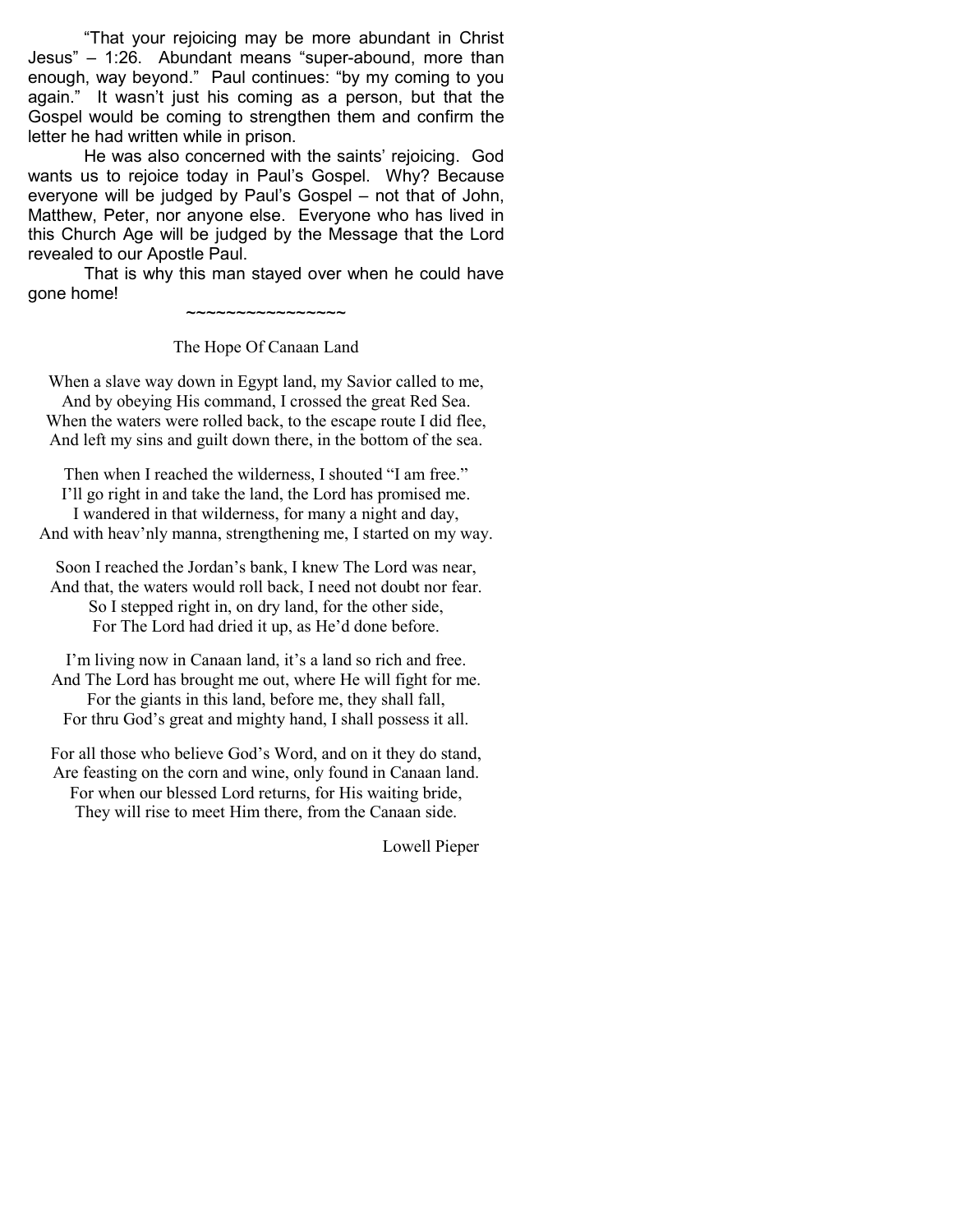"That your rejoicing may be more abundant in Christ Jesus" – 1:26. Abundant means "super-abound, more than enough, way beyond." Paul continues: "by my coming to you again." It wasn't just his coming as a person, but that the Gospel would be coming to strengthen them and confirm the letter he had written while in prison.

 He was also concerned with the saints' rejoicing. God wants us to rejoice today in Paul's Gospel. Why? Because everyone will be judged by Paul's Gospel – not that of John, Matthew, Peter, nor anyone else. Everyone who has lived in this Church Age will be judged by the Message that the Lord revealed to our Apostle Paul.

 That is why this man stayed over when he could have gone home!

> $\sim$ ~~~~~~~~~~~~~ The Hope Of Canaan Land

When a slave way down in Egypt land, my Savior called to me, And by obeying His command, I crossed the great Red Sea.

When the waters were rolled back, to the escape route I did flee, And left my sins and guilt down there, in the bottom of the sea.

Then when I reached the wilderness, I shouted "I am free." I'll go right in and take the land, the Lord has promised me. I wandered in that wilderness, for many a night and day, And with heav'nly manna, strengthening me, I started on my way.

Soon I reached the Jordan's bank, I knew The Lord was near, And that, the waters would roll back, I need not doubt nor fear. So I stepped right in, on dry land, for the other side, For The Lord had dried it up, as He'd done before.

I'm living now in Canaan land, it's a land so rich and free. And The Lord has brought me out, where He will fight for me. For the giants in this land, before me, they shall fall, For thru God's great and mighty hand, I shall possess it all.

For all those who believe God's Word, and on it they do stand, Are feasting on the corn and wine, only found in Canaan land. For when our blessed Lord returns, for His waiting bride, They will rise to meet Him there, from the Canaan side.

Lowell Pieper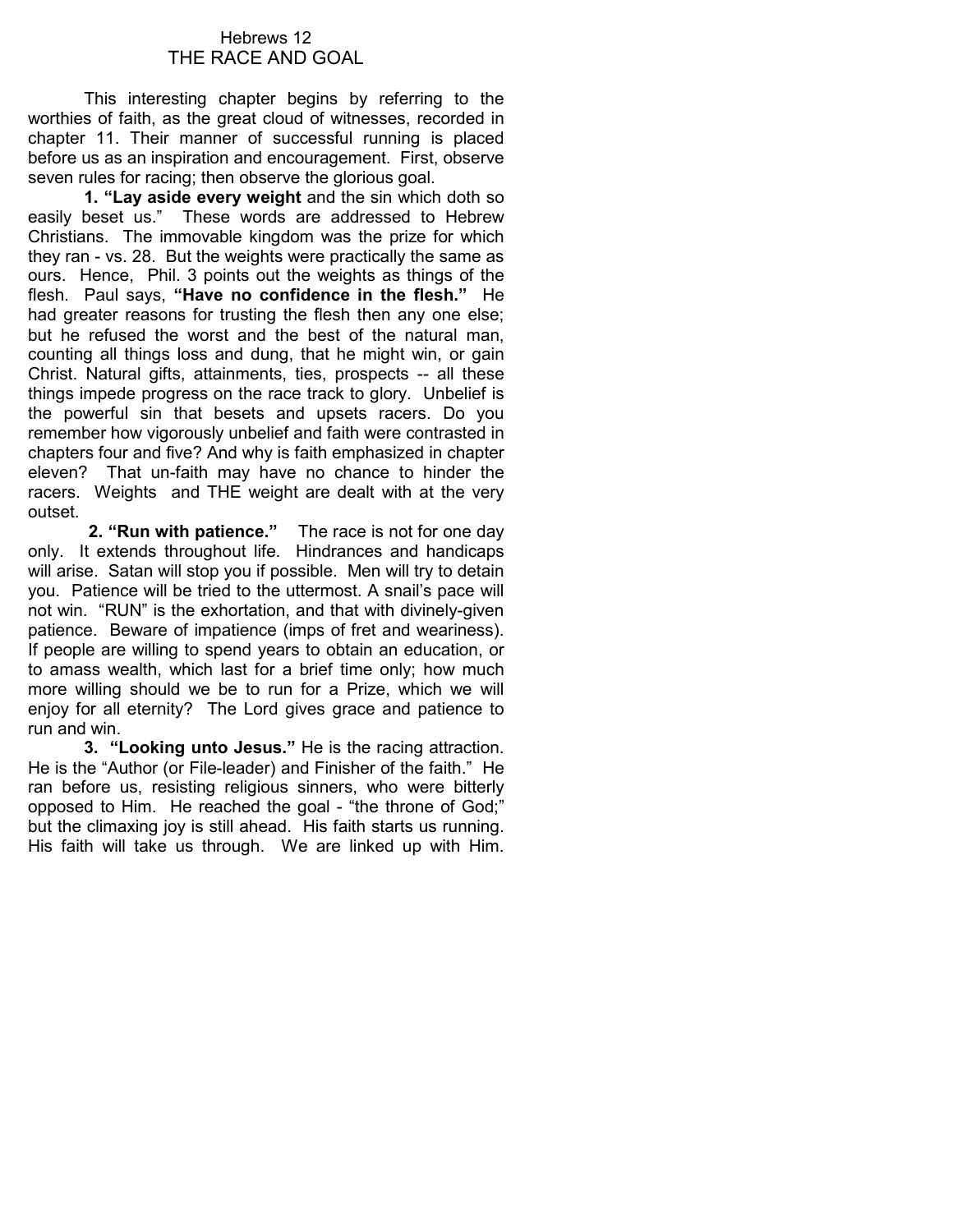#### Hebrews 12 THE RACE AND GOAL

This interesting chapter begins by referring to the worthies of faith, as the great cloud of witnesses, recorded in chapter 11. Their manner of successful running is placed before us as an inspiration and encouragement. First, observe seven rules for racing; then observe the glorious goal.

1. "Lay aside every weight and the sin which doth so easily beset us." These words are addressed to Hebrew Christians. The immovable kingdom was the prize for which they ran - vs. 28. But the weights were practically the same as ours. Hence, Phil. 3 points out the weights as things of the flesh. Paul says, "Have no confidence in the flesh." He had greater reasons for trusting the flesh then any one else; but he refused the worst and the best of the natural man, counting all things loss and dung, that he might win, or gain Christ. Natural gifts, attainments, ties, prospects -- all these things impede progress on the race track to glory. Unbelief is the powerful sin that besets and upsets racers. Do you remember how vigorously unbelief and faith were contrasted in chapters four and five? And why is faith emphasized in chapter eleven? That un-faith may have no chance to hinder the racers. Weights and THE weight are dealt with at the very outset.

**2. "Run with patience."** The race is not for one day only. It extends throughout life. Hindrances and handicaps will arise. Satan will stop you if possible. Men will try to detain you. Patience will be tried to the uttermost. A snail's pace will not win. "RUN" is the exhortation, and that with divinely-given patience. Beware of impatience (imps of fret and weariness). If people are willing to spend years to obtain an education, or to amass wealth, which last for a brief time only; how much more willing should we be to run for a Prize, which we will enjoy for all eternity? The Lord gives grace and patience to run and win.

3. "Looking unto Jesus." He is the racing attraction. He is the "Author (or File-leader) and Finisher of the faith." He ran before us, resisting religious sinners, who were bitterly opposed to Him. He reached the goal - "the throne of God;" but the climaxing joy is still ahead. His faith starts us running. His faith will take us through. We are linked up with Him.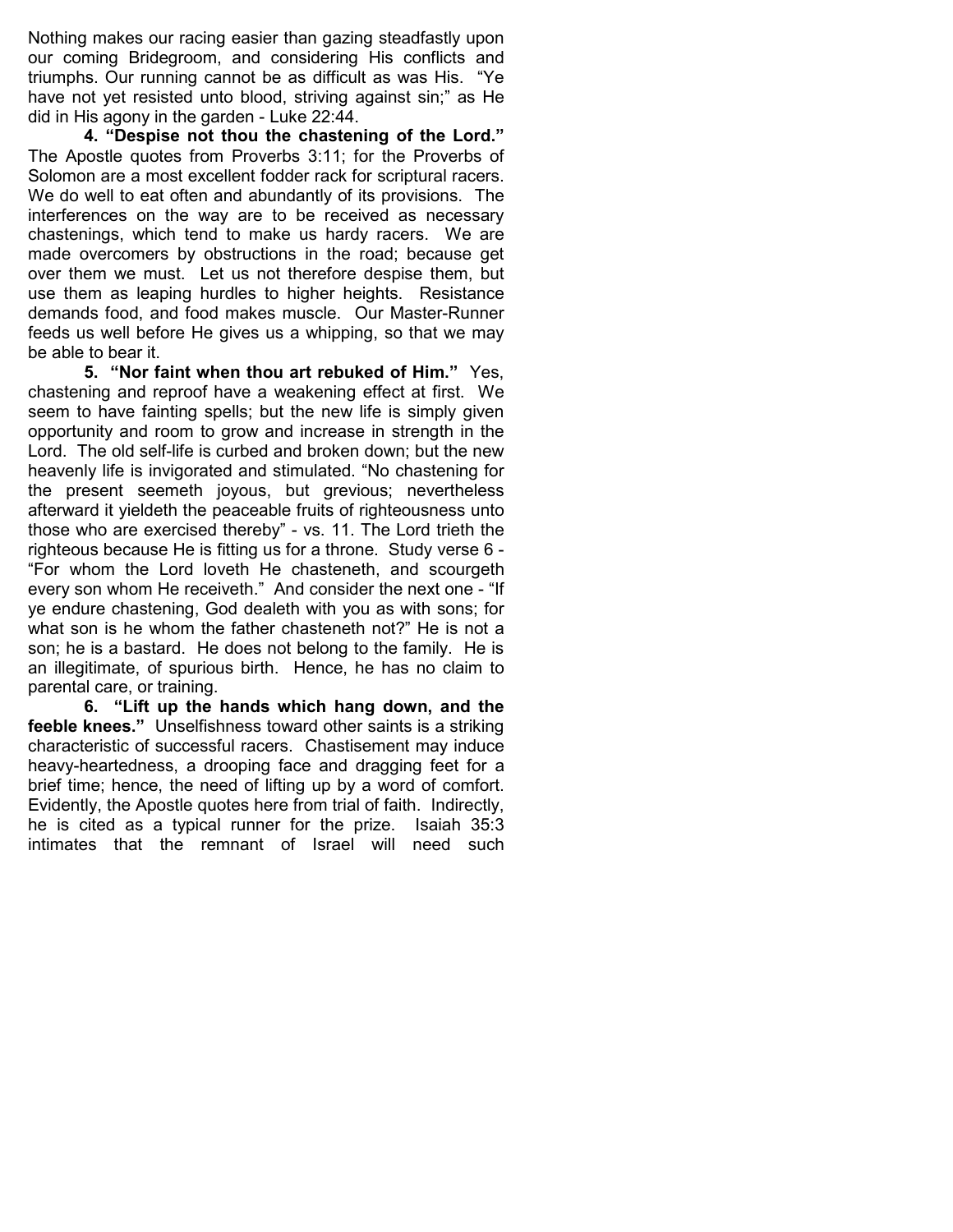Nothing makes our racing easier than gazing steadfastly upon our coming Bridegroom, and considering His conflicts and triumphs. Our running cannot be as difficult as was His. "Ye have not yet resisted unto blood, striving against sin;" as He did in His agony in the garden - Luke 22:44.

4. "Despise not thou the chastening of the Lord." The Apostle quotes from Proverbs 3:11; for the Proverbs of Solomon are a most excellent fodder rack for scriptural racers. We do well to eat often and abundantly of its provisions. The interferences on the way are to be received as necessary chastenings, which tend to make us hardy racers. We are made overcomers by obstructions in the road; because get over them we must. Let us not therefore despise them, but use them as leaping hurdles to higher heights. Resistance demands food, and food makes muscle. Our Master-Runner feeds us well before He gives us a whipping, so that we may be able to bear it.

5. "Nor faint when thou art rebuked of Him." Yes, chastening and reproof have a weakening effect at first. We seem to have fainting spells; but the new life is simply given opportunity and room to grow and increase in strength in the Lord. The old self-life is curbed and broken down; but the new heavenly life is invigorated and stimulated. "No chastening for the present seemeth joyous, but grevious; nevertheless afterward it yieldeth the peaceable fruits of righteousness unto those who are exercised thereby" - vs. 11. The Lord trieth the righteous because He is fitting us for a throne. Study verse 6 - "For whom the Lord loveth He chasteneth, and scourgeth every son whom He receiveth." And consider the next one - "If ye endure chastening, God dealeth with you as with sons; for what son is he whom the father chasteneth not?" He is not a son; he is a bastard. He does not belong to the family. He is an illegitimate, of spurious birth. Hence, he has no claim to parental care, or training.

6. "Lift up the hands which hang down, and the feeble knees." Unselfishness toward other saints is a striking characteristic of successful racers. Chastisement may induce heavy-heartedness, a drooping face and dragging feet for a brief time; hence, the need of lifting up by a word of comfort. Evidently, the Apostle quotes here from trial of faith. Indirectly, he is cited as a typical runner for the prize. Isaiah 35:3 intimates that the remnant of Israel will need such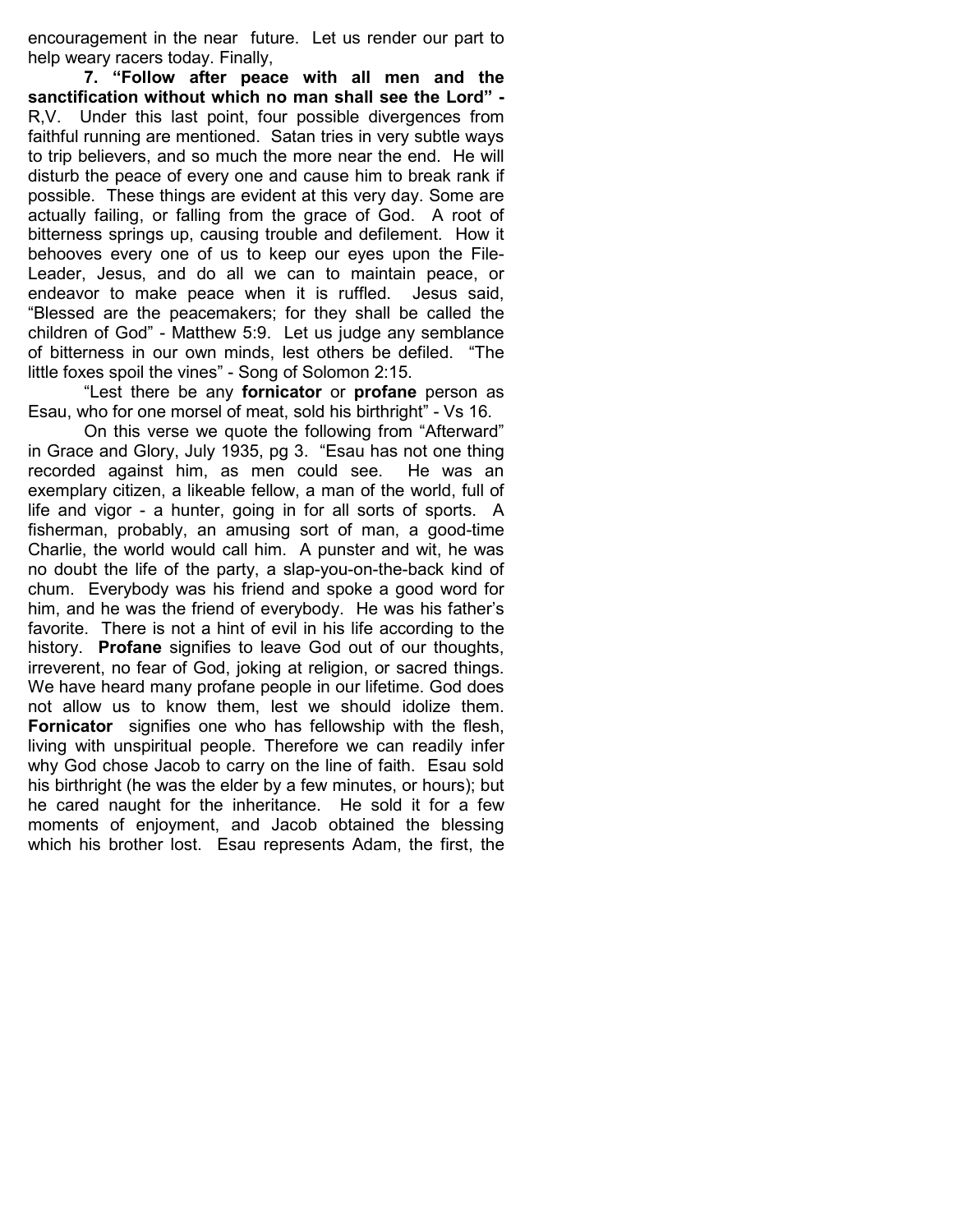encouragement in the near future. Let us render our part to help weary racers today. Finally,

7. "Follow after peace with all men and the sanctification without which no man shall see the Lord" - R,V. Under this last point, four possible divergences from faithful running are mentioned. Satan tries in very subtle ways to trip believers, and so much the more near the end. He will disturb the peace of every one and cause him to break rank if possible. These things are evident at this very day. Some are actually failing, or falling from the grace of God. A root of bitterness springs up, causing trouble and defilement. How it behooves every one of us to keep our eyes upon the File-Leader, Jesus, and do all we can to maintain peace, or endeavor to make peace when it is ruffled. Jesus said, "Blessed are the peacemakers; for they shall be called the children of God" - Matthew 5:9. Let us judge any semblance of bitterness in our own minds, lest others be defiled. "The little foxes spoil the vines" - Song of Solomon 2:15.

"Lest there be any **fornicator** or **profane** person as Esau, who for one morsel of meat, sold his birthright" - Vs 16.

On this verse we quote the following from "Afterward" in Grace and Glory, July 1935, pg 3. "Esau has not one thing recorded against him, as men could see. He was an exemplary citizen, a likeable fellow, a man of the world, full of life and vigor - a hunter, going in for all sorts of sports. A fisherman, probably, an amusing sort of man, a good-time Charlie, the world would call him. A punster and wit, he was no doubt the life of the party, a slap-you-on-the-back kind of chum. Everybody was his friend and spoke a good word for him, and he was the friend of everybody. He was his father's favorite. There is not a hint of evil in his life according to the history. **Profane** signifies to leave God out of our thoughts, irreverent, no fear of God, joking at religion, or sacred things. We have heard many profane people in our lifetime. God does not allow us to know them, lest we should idolize them. Fornicator signifies one who has fellowship with the flesh, living with unspiritual people. Therefore we can readily infer why God chose Jacob to carry on the line of faith. Esau sold his birthright (he was the elder by a few minutes, or hours); but he cared naught for the inheritance. He sold it for a few moments of enjoyment, and Jacob obtained the blessing which his brother lost. Esau represents Adam, the first, the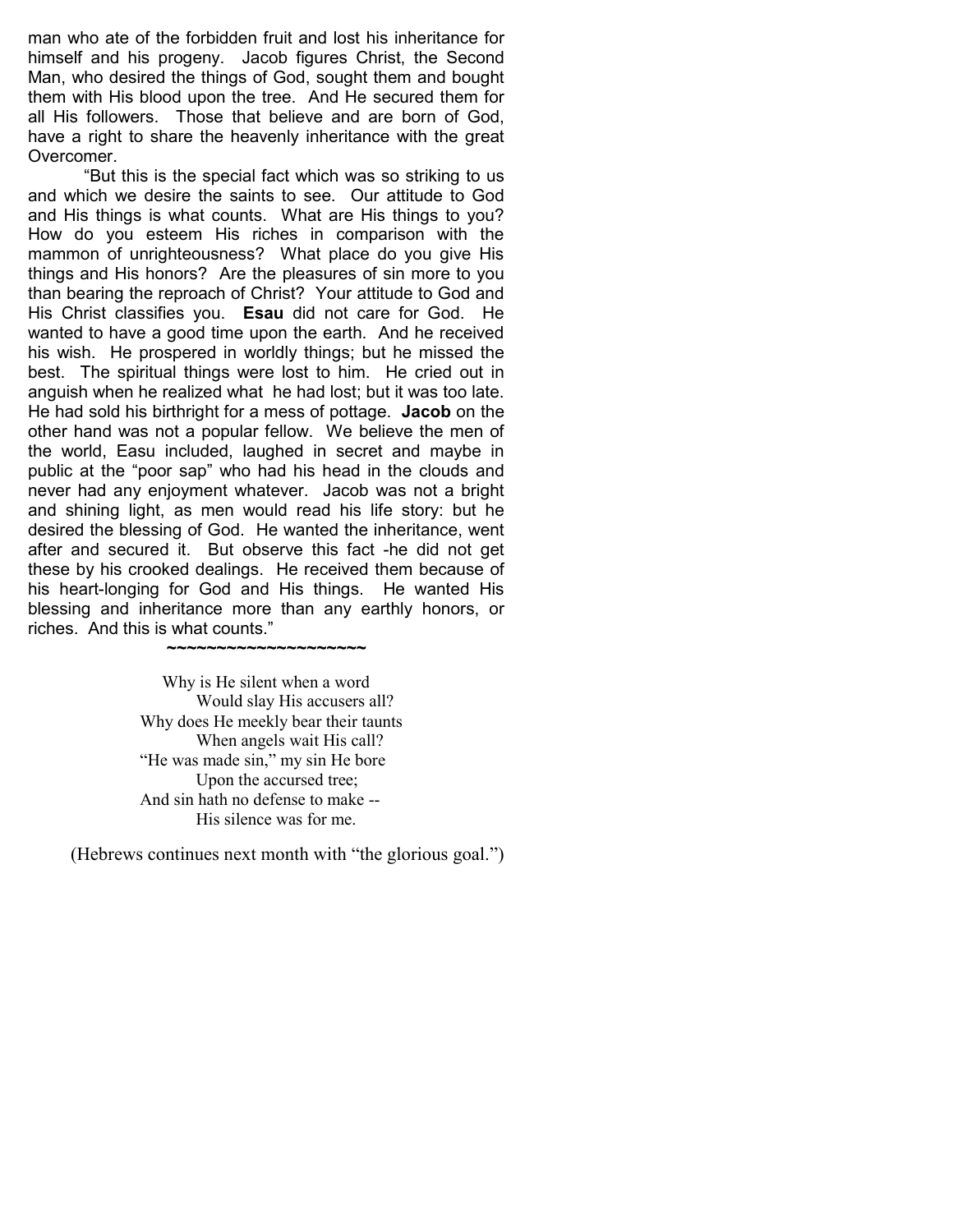man who ate of the forbidden fruit and lost his inheritance for himself and his progeny. Jacob figures Christ, the Second Man, who desired the things of God, sought them and bought them with His blood upon the tree. And He secured them for all His followers. Those that believe and are born of God, have a right to share the heavenly inheritance with the great Overcomer.

 "But this is the special fact which was so striking to us and which we desire the saints to see. Our attitude to God and His things is what counts. What are His things to you? How do you esteem His riches in comparison with the mammon of unrighteousness? What place do you give His things and His honors? Are the pleasures of sin more to you than bearing the reproach of Christ? Your attitude to God and His Christ classifies you. Esau did not care for God. He wanted to have a good time upon the earth. And he received his wish. He prospered in worldly things; but he missed the best. The spiritual things were lost to him. He cried out in anguish when he realized what he had lost; but it was too late. He had sold his birthright for a mess of pottage. Jacob on the other hand was not a popular fellow. We believe the men of the world, Easu included, laughed in secret and maybe in public at the "poor sap" who had his head in the clouds and never had any enjoyment whatever. Jacob was not a bright and shining light, as men would read his life story: but he desired the blessing of God. He wanted the inheritance, went after and secured it. But observe this fact -he did not get these by his crooked dealings. He received them because of his heart-longing for God and His things. He wanted His blessing and inheritance more than any earthly honors, or riches. And this is what counts."

> Why is He silent when a word Would slay His accusers all? Why does He meekly bear their taunts When angels wait His call? "He was made sin," my sin He bore Upon the accursed tree; And sin hath no defense to make -- His silence was for me.

~~~~~~~~~~~~~~~~~~~

(Hebrews continues next month with "the glorious goal.")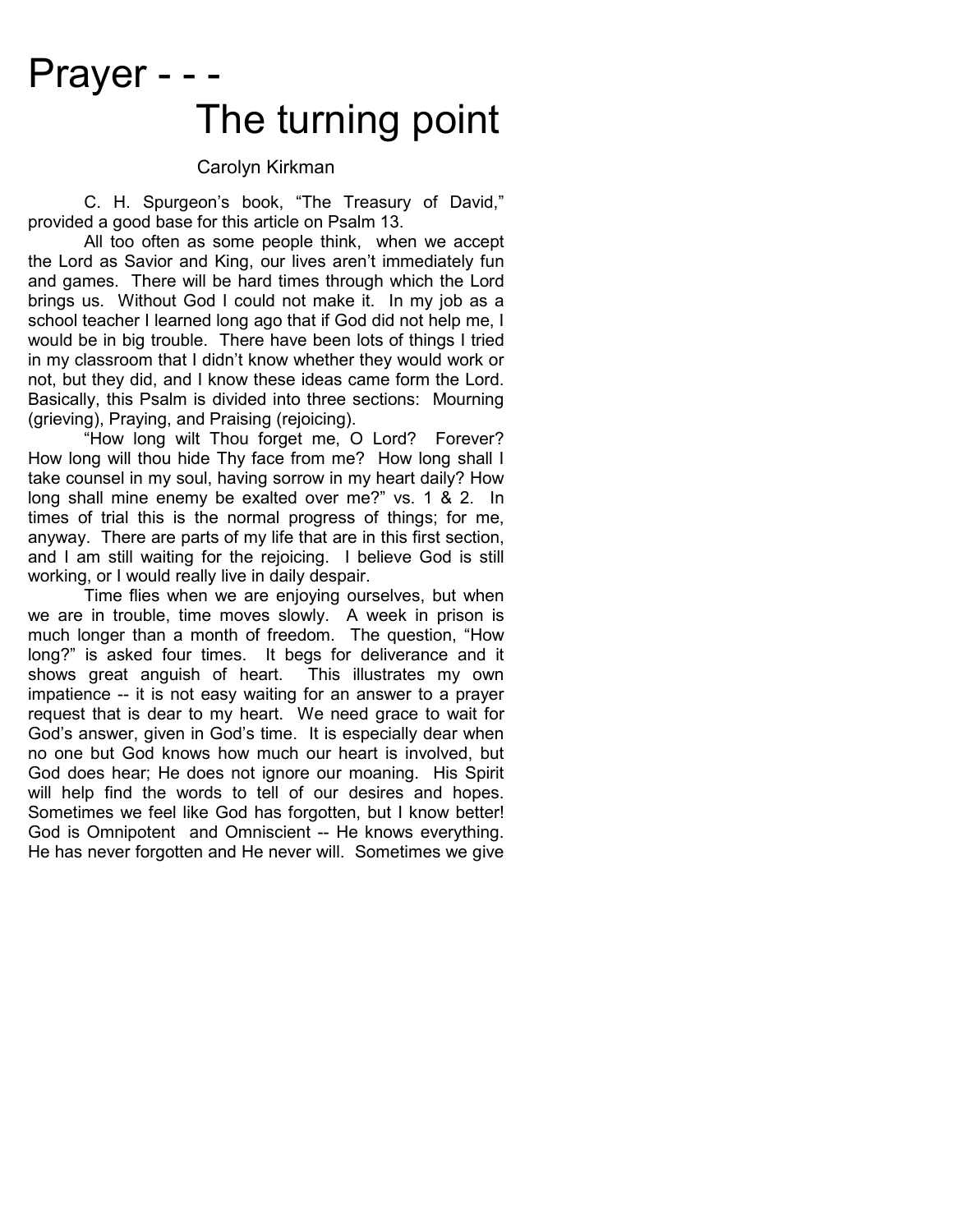# Prayer -The turning point

#### Carolyn Kirkman

 C. H. Spurgeon's book, "The Treasury of David," provided a good base for this article on Psalm 13.

 All too often as some people think, when we accept the Lord as Savior and King, our lives aren't immediately fun and games. There will be hard times through which the Lord brings us. Without God I could not make it. In my job as a school teacher I learned long ago that if God did not help me, I would be in big trouble. There have been lots of things I tried in my classroom that I didn't know whether they would work or not, but they did, and I know these ideas came form the Lord. Basically, this Psalm is divided into three sections: Mourning (grieving), Praying, and Praising (rejoicing).

 "How long wilt Thou forget me, O Lord? Forever? How long will thou hide Thy face from me? How long shall I take counsel in my soul, having sorrow in my heart daily? How long shall mine enemy be exalted over me?" vs. 1 & 2. In times of trial this is the normal progress of things; for me, anyway. There are parts of my life that are in this first section, and I am still waiting for the rejoicing. I believe God is still working, or I would really live in daily despair.

 Time flies when we are enjoying ourselves, but when we are in trouble, time moves slowly. A week in prison is much longer than a month of freedom. The question, "How long?" is asked four times. It begs for deliverance and it shows great anguish of heart. This illustrates my own impatience -- it is not easy waiting for an answer to a prayer request that is dear to my heart. We need grace to wait for God's answer, given in God's time. It is especially dear when no one but God knows how much our heart is involved, but God does hear; He does not ignore our moaning. His Spirit will help find the words to tell of our desires and hopes. Sometimes we feel like God has forgotten, but I know better! God is Omnipotent and Omniscient -- He knows everything. He has never forgotten and He never will. Sometimes we give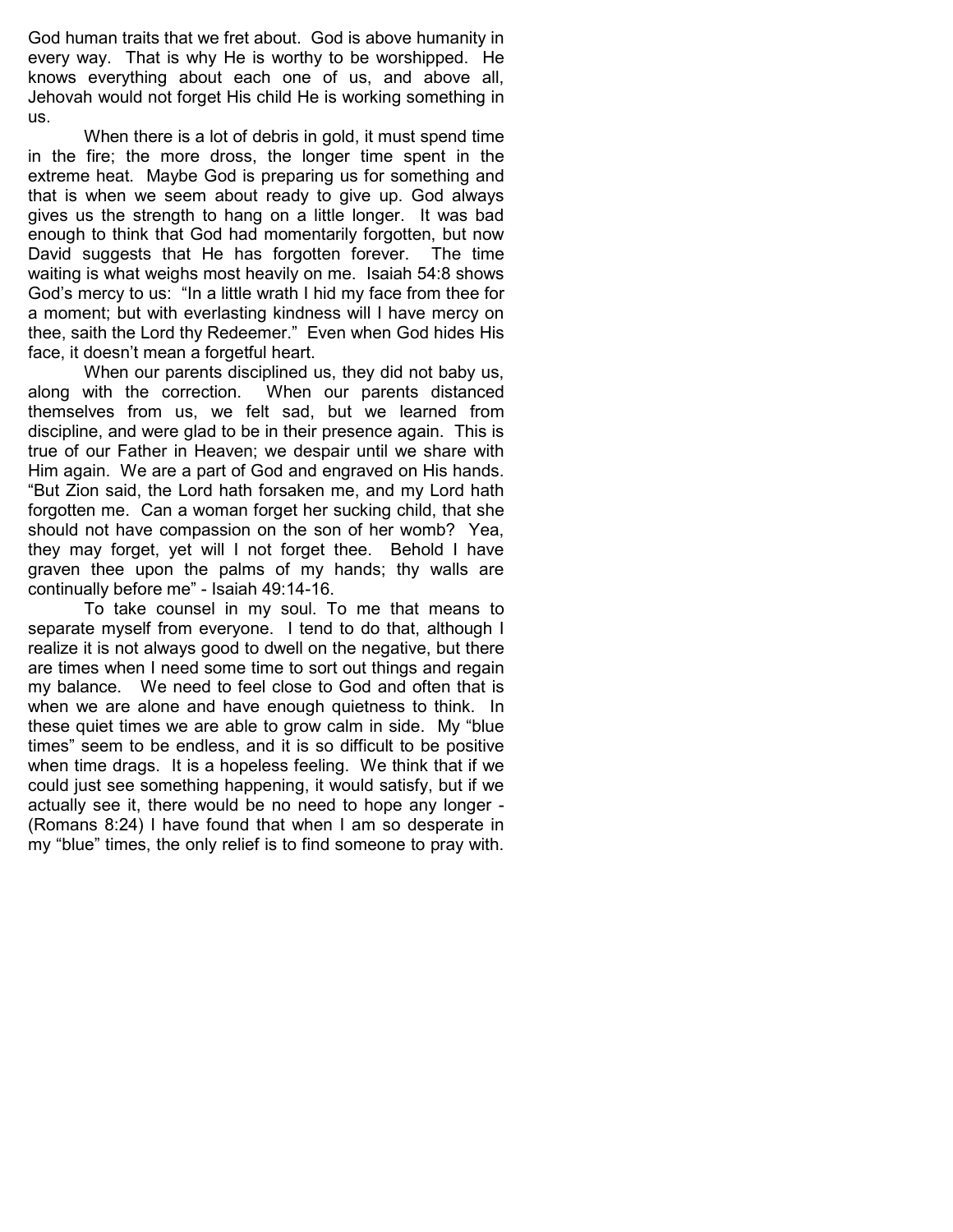God human traits that we fret about. God is above humanity in every way. That is why He is worthy to be worshipped. He knows everything about each one of us, and above all, Jehovah would not forget His child He is working something in us.

 When there is a lot of debris in gold, it must spend time in the fire; the more dross, the longer time spent in the extreme heat. Maybe God is preparing us for something and that is when we seem about ready to give up. God always gives us the strength to hang on a little longer. It was bad enough to think that God had momentarily forgotten, but now David suggests that He has forgotten forever. The time waiting is what weighs most heavily on me. Isaiah 54:8 shows God's mercy to us: "In a little wrath I hid my face from thee for a moment; but with everlasting kindness will I have mercy on thee, saith the Lord thy Redeemer." Even when God hides His face, it doesn't mean a forgetful heart.

 When our parents disciplined us, they did not baby us, along with the correction. When our parents distanced themselves from us, we felt sad, but we learned from discipline, and were glad to be in their presence again. This is true of our Father in Heaven; we despair until we share with Him again. We are a part of God and engraved on His hands. "But Zion said, the Lord hath forsaken me, and my Lord hath forgotten me. Can a woman forget her sucking child, that she should not have compassion on the son of her womb? Yea, they may forget, yet will I not forget thee. Behold I have graven thee upon the palms of my hands; thy walls are continually before me" - Isaiah 49:14-16.

 To take counsel in my soul. To me that means to separate myself from everyone. I tend to do that, although I realize it is not always good to dwell on the negative, but there are times when I need some time to sort out things and regain my balance. We need to feel close to God and often that is when we are alone and have enough quietness to think. In these quiet times we are able to grow calm in side. My "blue times" seem to be endless, and it is so difficult to be positive when time drags. It is a hopeless feeling. We think that if we could just see something happening, it would satisfy, but if we actually see it, there would be no need to hope any longer - (Romans 8:24) I have found that when I am so desperate in my "blue" times, the only relief is to find someone to pray with.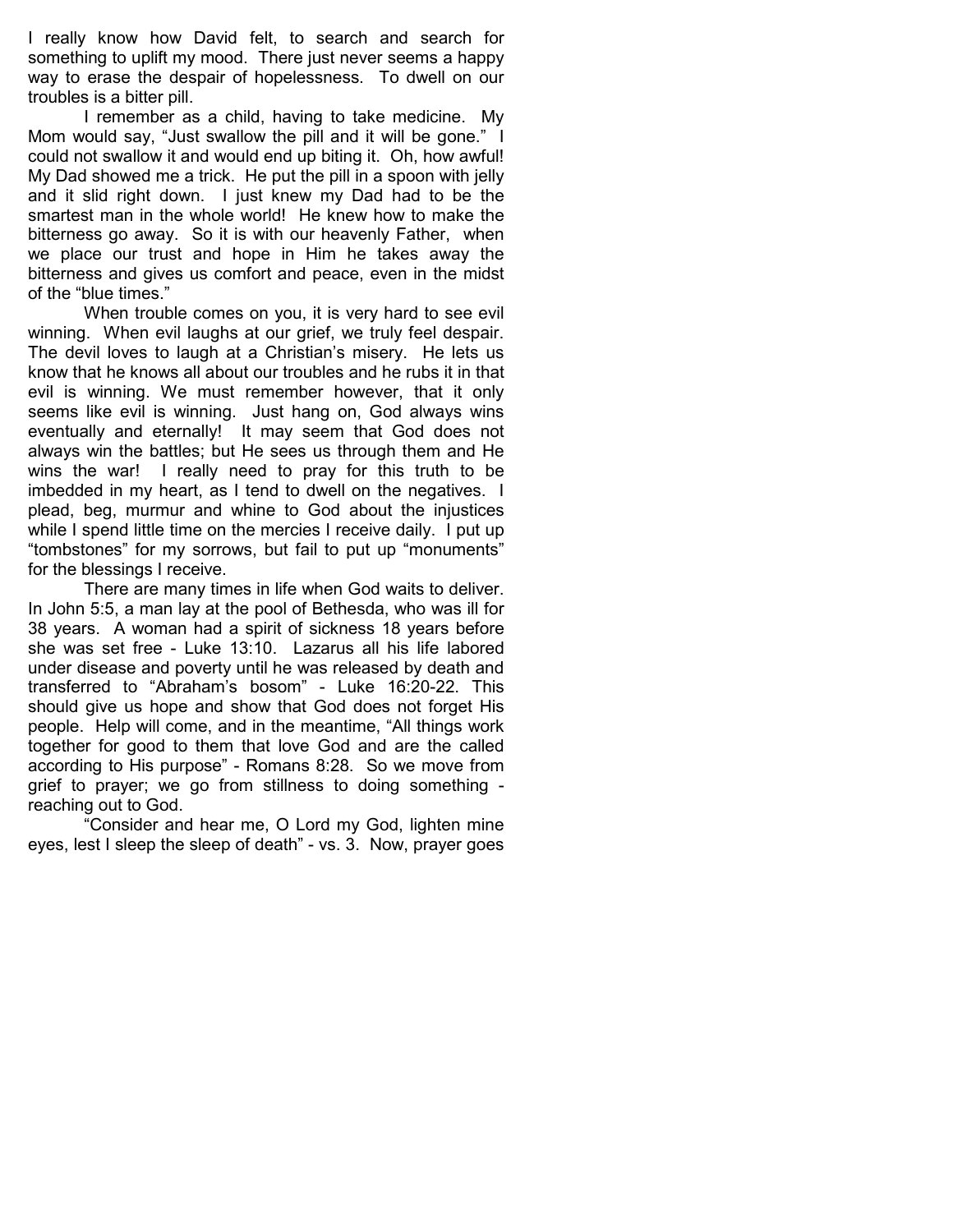I really know how David felt, to search and search for something to uplift my mood. There just never seems a happy way to erase the despair of hopelessness. To dwell on our troubles is a bitter pill.

 I remember as a child, having to take medicine. My Mom would say, "Just swallow the pill and it will be gone." I could not swallow it and would end up biting it. Oh, how awful! My Dad showed me a trick. He put the pill in a spoon with jelly and it slid right down. I just knew my Dad had to be the smartest man in the whole world! He knew how to make the bitterness go away. So it is with our heavenly Father, when we place our trust and hope in Him he takes away the bitterness and gives us comfort and peace, even in the midst of the "blue times."

 When trouble comes on you, it is very hard to see evil winning. When evil laughs at our grief, we truly feel despair. The devil loves to laugh at a Christian's misery. He lets us know that he knows all about our troubles and he rubs it in that evil is winning. We must remember however, that it only seems like evil is winning. Just hang on, God always wins eventually and eternally! It may seem that God does not always win the battles; but He sees us through them and He wins the war! I really need to pray for this truth to be imbedded in my heart, as I tend to dwell on the negatives. I plead, beg, murmur and whine to God about the injustices while I spend little time on the mercies I receive daily. I put up "tombstones" for my sorrows, but fail to put up "monuments" for the blessings I receive.

 There are many times in life when God waits to deliver. In John 5:5, a man lay at the pool of Bethesda, who was ill for 38 years. A woman had a spirit of sickness 18 years before she was set free - Luke 13:10. Lazarus all his life labored under disease and poverty until he was released by death and transferred to "Abraham's bosom" - Luke 16:20-22. This should give us hope and show that God does not forget His people. Help will come, and in the meantime, "All things work together for good to them that love God and are the called according to His purpose" - Romans 8:28. So we move from grief to prayer; we go from stillness to doing something reaching out to God.

 "Consider and hear me, O Lord my God, lighten mine eyes, lest I sleep the sleep of death" - vs. 3. Now, prayer goes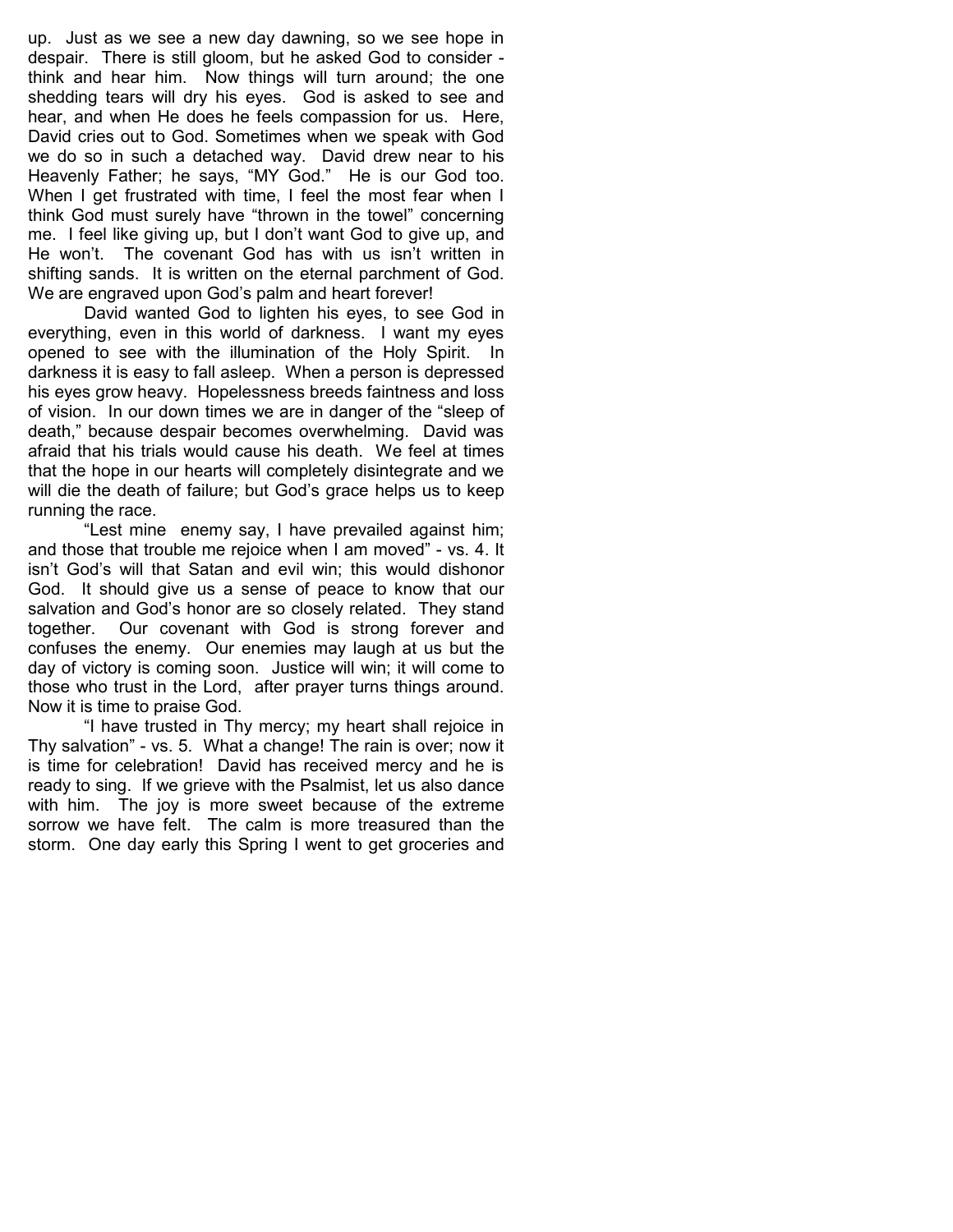up. Just as we see a new day dawning, so we see hope in despair. There is still gloom, but he asked God to consider think and hear him. Now things will turn around; the one shedding tears will dry his eyes. God is asked to see and hear, and when He does he feels compassion for us. Here, David cries out to God. Sometimes when we speak with God we do so in such a detached way. David drew near to his Heavenly Father; he says, "MY God." He is our God too. When I get frustrated with time, I feel the most fear when I think God must surely have "thrown in the towel" concerning me. I feel like giving up, but I don't want God to give up, and He won't. The covenant God has with us isn't written in shifting sands. It is written on the eternal parchment of God. We are engraved upon God's palm and heart forever!

 David wanted God to lighten his eyes, to see God in everything, even in this world of darkness. I want my eyes opened to see with the illumination of the Holy Spirit. In darkness it is easy to fall asleep. When a person is depressed his eyes grow heavy. Hopelessness breeds faintness and loss of vision. In our down times we are in danger of the "sleep of death," because despair becomes overwhelming. David was afraid that his trials would cause his death. We feel at times that the hope in our hearts will completely disintegrate and we will die the death of failure; but God's grace helps us to keep running the race.

 "Lest mine enemy say, I have prevailed against him; and those that trouble me rejoice when I am moved" - vs. 4. It isn't God's will that Satan and evil win; this would dishonor God. It should give us a sense of peace to know that our salvation and God's honor are so closely related. They stand together. Our covenant with God is strong forever and confuses the enemy. Our enemies may laugh at us but the day of victory is coming soon. Justice will win; it will come to those who trust in the Lord, after prayer turns things around. Now it is time to praise God.

 "I have trusted in Thy mercy; my heart shall rejoice in Thy salvation" - vs. 5. What a change! The rain is over; now it is time for celebration! David has received mercy and he is ready to sing. If we grieve with the Psalmist, let us also dance with him. The joy is more sweet because of the extreme sorrow we have felt. The calm is more treasured than the storm. One day early this Spring I went to get groceries and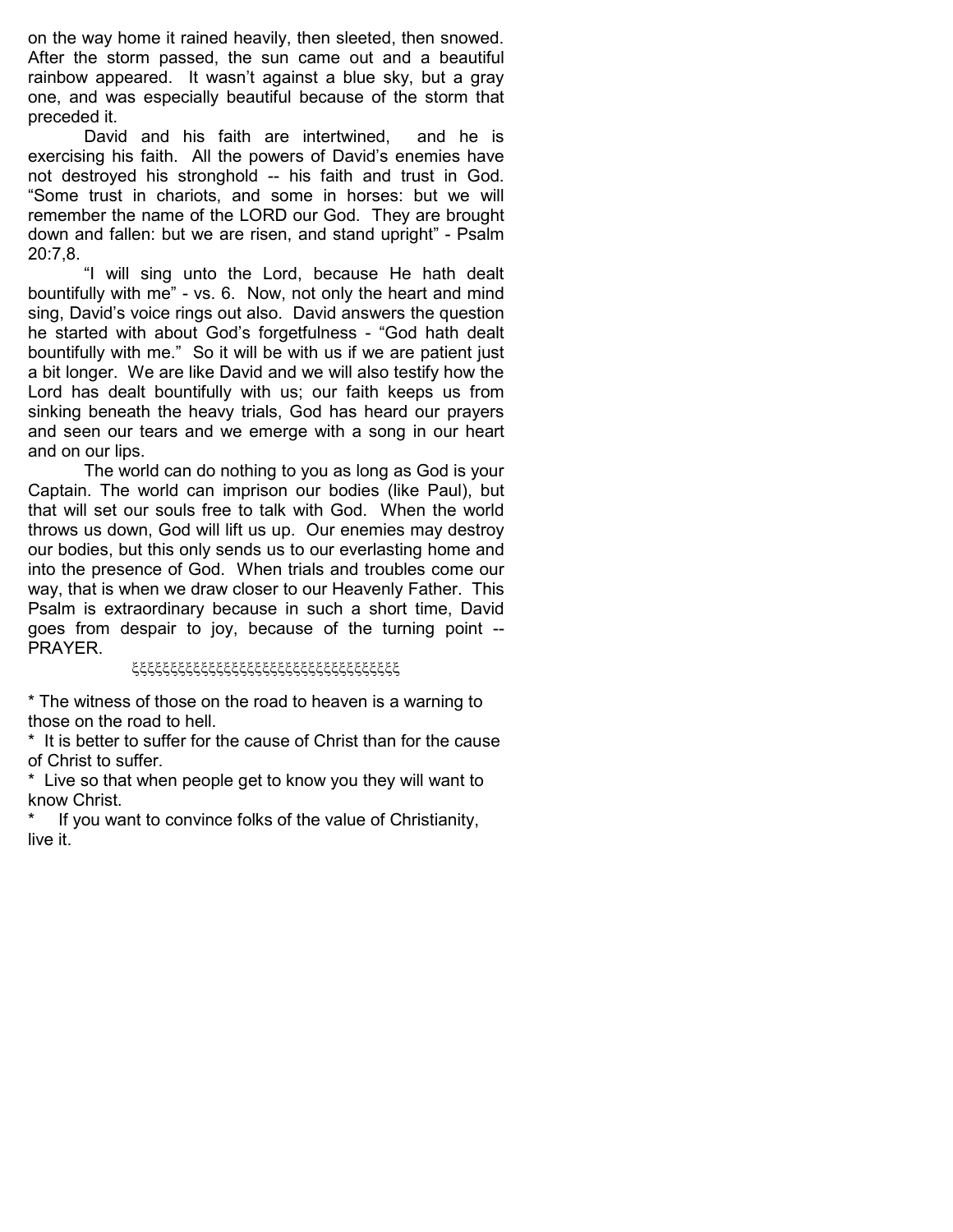on the way home it rained heavily, then sleeted, then snowed. After the storm passed, the sun came out and a beautiful rainbow appeared. It wasn't against a blue sky, but a gray one, and was especially beautiful because of the storm that preceded it.

 David and his faith are intertwined, and he is exercising his faith. All the powers of David's enemies have not destroyed his stronghold -- his faith and trust in God. "Some trust in chariots, and some in horses: but we will remember the name of the LORD our God. They are brought down and fallen: but we are risen, and stand upright" - Psalm 20:7,8.

 "I will sing unto the Lord, because He hath dealt bountifully with me" - vs. 6. Now, not only the heart and mind sing, David's voice rings out also. David answers the question he started with about God's forgetfulness - "God hath dealt bountifully with me." So it will be with us if we are patient just a bit longer. We are like David and we will also testify how the Lord has dealt bountifully with us; our faith keeps us from sinking beneath the heavy trials, God has heard our prayers and seen our tears and we emerge with a song in our heart and on our lips.

 The world can do nothing to you as long as God is your Captain. The world can imprison our bodies (like Paul), but that will set our souls free to talk with God. When the world throws us down, God will lift us up. Our enemies may destroy our bodies, but this only sends us to our everlasting home and into the presence of God. When trials and troubles come our way, that is when we draw closer to our Heavenly Father. This Psalm is extraordinary because in such a short time, David goes from despair to joy, because of the turning point -- PRAYER.

#### ξξξξξξξξξξξξξξξξξξξξξξξξξξξξξξξξξξξ

\* The witness of those on the road to heaven is a warning to those on the road to hell.

\* It is better to suffer for the cause of Christ than for the cause of Christ to suffer.

\* Live so that when people get to know you they will want to know Christ.

If you want to convince folks of the value of Christianity, live it.